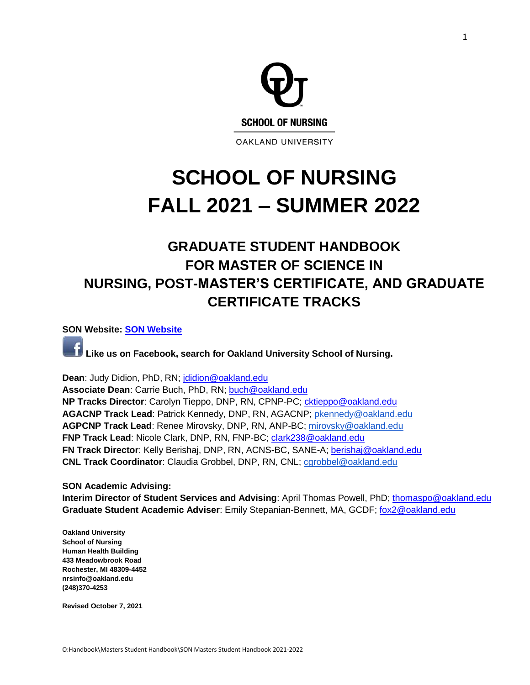

# **SCHOOL OF NURSING FALL 2021 – SUMMER 2022**

## **GRADUATE STUDENT HANDBOOK FOR MASTER OF SCIENCE IN NURSING, POST-MASTER'S CERTIFICATE, AND GRADUATE CERTIFICATE TRACKS**

**SON Website: [SON Website](http://www.oakland.edu/nursing)**

**Like us on Facebook, search for Oakland University School of Nursing.**

**Dean**: Judy Didion, PhD, RN; [jdidion@oakland.edu](mailto:jdidion@oakland.edu)

**Associate Dean**: Carrie Buch, PhD, RN; [buch@oakland.edu](mailto:buch@oakland.edu) **NP Tracks Director**: Carolyn Tieppo, DNP, RN, CPNP-PC; [cktieppo@oakland.edu](file:///C:/Users/buch/Downloads/cktieppo@oakland.edu) **AGACNP Track Lead**: Patrick Kennedy, DNP, RN, AGACNP; [pkennedy@oakland.edu](mailto:pkennedy@oakland.edu) **AGPCNP Track Lead**: Renee Mirovsky, DNP, RN, ANP-BC; [mirovsky@oakland.edu](mailto:mirovsky@oakland.edu) **FNP Track Lead**: Nicole Clark, DNP, RN, FNP-BC; [clark238@oakland.edu](file:///C:/Users/buch/Downloads/clark238@oakland.edu) **FN Track Director**: Kelly Berishaj, DNP, RN, ACNS-BC, SANE-A; [berishaj@oakland.edu](mailto:berishaj@oakland.edu) **CNL Track Coordinator**: Claudia Grobbel, DNP, RN, CNL; [cgrobbel@oakland.edu](mailto:cgrobbel@oakland.edu)

**SON Academic Advising: Interim Director of Student Services and Advising**: April Thomas Powell, PhD; [thomaspo@oakland.edu](file:///C:/Users/buch/Downloads/thomaspo@oakland.edu) **Graduate Student Academic Adviser**: Emily Stepanian-Bennett, MA, GCDF; [fox2@oakland.edu](mailto:fox2@oakland.edu)

**Oakland University School of Nursing Human Health Building 433 Meadowbrook Road Rochester, MI 48309-4452 [nrsinfo@oakland.edu](mailto:nrsinfo@oakland.edu) (248)370-4253**

**Revised October 7, 2021**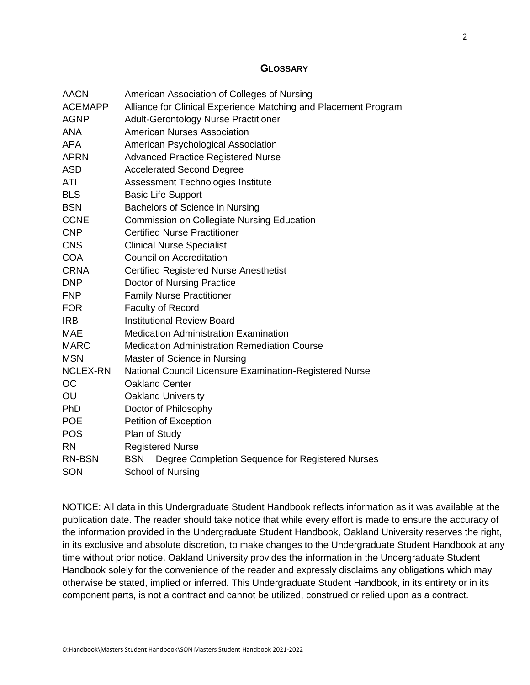#### <span id="page-1-0"></span>**GLOSSARY**

| AACN            | American Association of Colleges of Nursing                     |  |  |
|-----------------|-----------------------------------------------------------------|--|--|
| <b>ACEMAPP</b>  | Alliance for Clinical Experience Matching and Placement Program |  |  |
| <b>AGNP</b>     | <b>Adult-Gerontology Nurse Practitioner</b>                     |  |  |
| <b>ANA</b>      | <b>American Nurses Association</b>                              |  |  |
| <b>APA</b>      | American Psychological Association                              |  |  |
| <b>APRN</b>     | <b>Advanced Practice Registered Nurse</b>                       |  |  |
| <b>ASD</b>      | <b>Accelerated Second Degree</b>                                |  |  |
| ATI             | Assessment Technologies Institute                               |  |  |
| <b>BLS</b>      | <b>Basic Life Support</b>                                       |  |  |
| <b>BSN</b>      | Bachelors of Science in Nursing                                 |  |  |
| <b>CCNE</b>     | <b>Commission on Collegiate Nursing Education</b>               |  |  |
| <b>CNP</b>      | <b>Certified Nurse Practitioner</b>                             |  |  |
| <b>CNS</b>      | <b>Clinical Nurse Specialist</b>                                |  |  |
| <b>COA</b>      | <b>Council on Accreditation</b>                                 |  |  |
| <b>CRNA</b>     | <b>Certified Registered Nurse Anesthetist</b>                   |  |  |
| <b>DNP</b>      | Doctor of Nursing Practice                                      |  |  |
| <b>FNP</b>      | <b>Family Nurse Practitioner</b>                                |  |  |
| <b>FOR</b>      | <b>Faculty of Record</b>                                        |  |  |
| <b>IRB</b>      | <b>Institutional Review Board</b>                               |  |  |
| <b>MAE</b>      | <b>Medication Administration Examination</b>                    |  |  |
| <b>MARC</b>     | <b>Medication Administration Remediation Course</b>             |  |  |
| <b>MSN</b>      | Master of Science in Nursing                                    |  |  |
| <b>NCLEX-RN</b> | National Council Licensure Examination-Registered Nurse         |  |  |
| <b>OC</b>       | <b>Oakland Center</b>                                           |  |  |
| OU              | <b>Oakland University</b>                                       |  |  |
| <b>PhD</b>      | Doctor of Philosophy                                            |  |  |
| <b>POE</b>      | Petition of Exception                                           |  |  |
| <b>POS</b>      | Plan of Study                                                   |  |  |
| <b>RN</b>       | <b>Registered Nurse</b>                                         |  |  |
| RN-BSN          | <b>BSN</b><br>Degree Completion Sequence for Registered Nurses  |  |  |
| SON             | <b>School of Nursing</b>                                        |  |  |

NOTICE: All data in this Undergraduate Student Handbook reflects information as it was available at the publication date. The reader should take notice that while every effort is made to ensure the accuracy of the information provided in the Undergraduate Student Handbook, Oakland University reserves the right, in its exclusive and absolute discretion, to make changes to the Undergraduate Student Handbook at any time without prior notice. Oakland University provides the information in the Undergraduate Student Handbook solely for the convenience of the reader and expressly disclaims any obligations which may otherwise be stated, implied or inferred. This Undergraduate Student Handbook, in its entirety or in its component parts, is not a contract and cannot be utilized, construed or relied upon as a contract.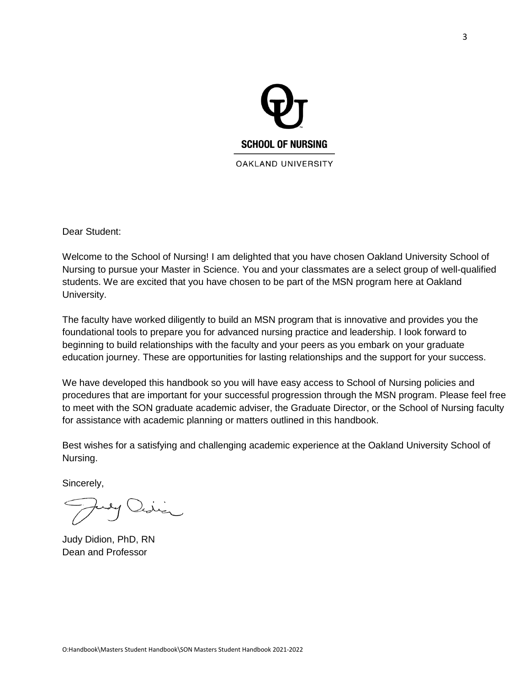

<span id="page-2-0"></span>Dear Student:

Welcome to the School of Nursing! I am delighted that you have chosen Oakland University School of Nursing to pursue your Master in Science. You and your classmates are a select group of well-qualified students. We are excited that you have chosen to be part of the MSN program here at Oakland University.

The faculty have worked diligently to build an MSN program that is innovative and provides you the foundational tools to prepare you for advanced nursing practice and leadership. I look forward to beginning to build relationships with the faculty and your peers as you embark on your graduate education journey. These are opportunities for lasting relationships and the support for your success.

We have developed this handbook so you will have easy access to School of Nursing policies and procedures that are important for your successful progression through the MSN program. Please feel free to meet with the SON graduate academic adviser, the Graduate Director, or the School of Nursing faculty for assistance with academic planning or matters outlined in this handbook.

Best wishes for a satisfying and challenging academic experience at the Oakland University School of Nursing.

Sincerely,

Judy Didion, PhD, RN Dean and Professor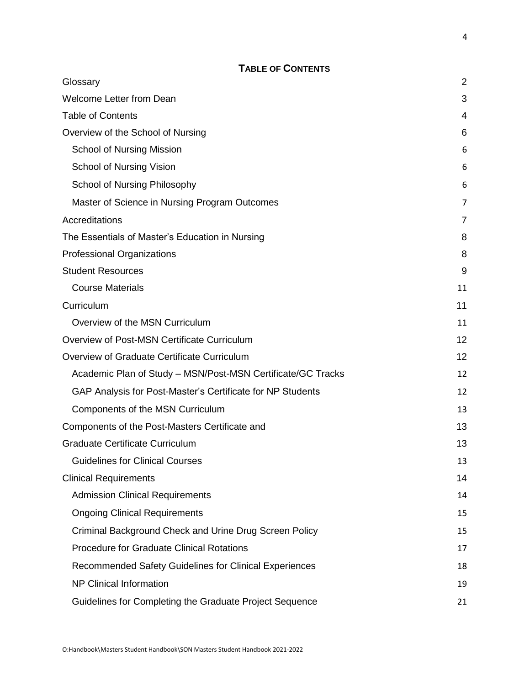## **TABLE OF CONTENTS**

<span id="page-3-0"></span>

| Glossary                                                    | 2  |
|-------------------------------------------------------------|----|
| <b>Welcome Letter from Dean</b>                             | 3  |
| <b>Table of Contents</b>                                    | 4  |
| Overview of the School of Nursing                           | 6  |
| <b>School of Nursing Mission</b>                            | 6  |
| <b>School of Nursing Vision</b>                             | 6  |
| School of Nursing Philosophy                                | 6  |
| Master of Science in Nursing Program Outcomes               | 7  |
| Accreditations                                              | 7  |
| The Essentials of Master's Education in Nursing             | 8  |
| <b>Professional Organizations</b>                           | 8  |
| <b>Student Resources</b>                                    | 9  |
| <b>Course Materials</b>                                     | 11 |
| Curriculum                                                  | 11 |
| Overview of the MSN Curriculum                              | 11 |
| Overview of Post-MSN Certificate Curriculum                 | 12 |
| Overview of Graduate Certificate Curriculum                 | 12 |
| Academic Plan of Study - MSN/Post-MSN Certificate/GC Tracks | 12 |
| GAP Analysis for Post-Master's Certificate for NP Students  | 12 |
| Components of the MSN Curriculum                            | 13 |
| Components of the Post-Masters Certificate and              | 13 |
| <b>Graduate Certificate Curriculum</b>                      | 13 |
| <b>Guidelines for Clinical Courses</b>                      | 13 |
| <b>Clinical Requirements</b>                                | 14 |
| <b>Admission Clinical Requirements</b>                      | 14 |
| <b>Ongoing Clinical Requirements</b>                        | 15 |
| Criminal Background Check and Urine Drug Screen Policy      | 15 |
| <b>Procedure for Graduate Clinical Rotations</b>            | 17 |
| Recommended Safety Guidelines for Clinical Experiences      | 18 |
| <b>NP Clinical Information</b>                              | 19 |
| Guidelines for Completing the Graduate Project Sequence     | 21 |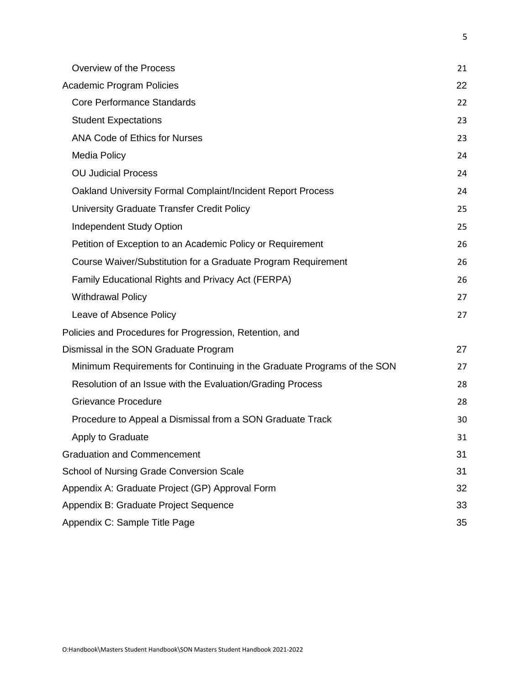| Overview of the Process                                                 | 21 |
|-------------------------------------------------------------------------|----|
| <b>Academic Program Policies</b>                                        | 22 |
| <b>Core Performance Standards</b>                                       | 22 |
| <b>Student Expectations</b>                                             | 23 |
| <b>ANA Code of Ethics for Nurses</b>                                    | 23 |
| Media Policy                                                            | 24 |
| <b>OU Judicial Process</b>                                              | 24 |
| Oakland University Formal Complaint/Incident Report Process             | 24 |
| University Graduate Transfer Credit Policy                              | 25 |
| <b>Independent Study Option</b>                                         | 25 |
| Petition of Exception to an Academic Policy or Requirement              | 26 |
| Course Waiver/Substitution for a Graduate Program Requirement           | 26 |
| Family Educational Rights and Privacy Act (FERPA)                       | 26 |
| <b>Withdrawal Policy</b>                                                | 27 |
| Leave of Absence Policy                                                 | 27 |
| Policies and Procedures for Progression, Retention, and                 |    |
| Dismissal in the SON Graduate Program                                   | 27 |
| Minimum Requirements for Continuing in the Graduate Programs of the SON | 27 |
| Resolution of an Issue with the Evaluation/Grading Process              | 28 |
| <b>Grievance Procedure</b>                                              | 28 |
| Procedure to Appeal a Dismissal from a SON Graduate Track               | 30 |
| Apply to Graduate                                                       | 31 |
| <b>Graduation and Commencement</b>                                      | 31 |
| School of Nursing Grade Conversion Scale                                | 31 |
| Appendix A: Graduate Project (GP) Approval Form                         | 32 |
| Appendix B: Graduate Project Sequence                                   | 33 |
| Appendix C: Sample Title Page                                           | 35 |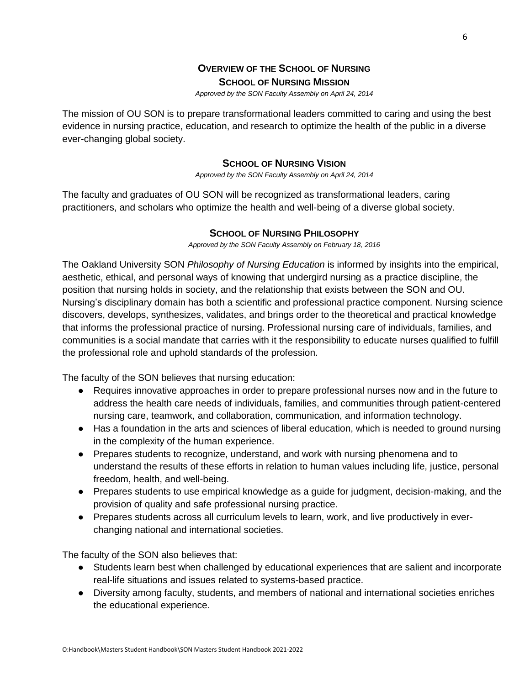## **OVERVIEW OF THE SCHOOL OF NURSING SCHOOL OF NURSING MISSION**

*Approved by the SON Faculty Assembly on April 24, 2014*

<span id="page-5-1"></span><span id="page-5-0"></span>The mission of OU SON is to prepare transformational leaders committed to caring and using the best evidence in nursing practice, education, and research to optimize the health of the public in a diverse ever-changing global society.

#### **SCHOOL OF NURSING VISION**

*Approved by the SON Faculty Assembly on April 24, 2014*

<span id="page-5-2"></span>The faculty and graduates of OU SON will be recognized as transformational leaders, caring practitioners, and scholars who optimize the health and well-being of a diverse global society.

#### **SCHOOL OF NURSING PHILOSOPHY**

*Approved by the SON Faculty Assembly on February 18, 2016*

<span id="page-5-3"></span>The Oakland University SON *Philosophy of Nursing Education* is informed by insights into the empirical, aesthetic, ethical, and personal ways of knowing that undergird nursing as a practice discipline, the position that nursing holds in society, and the relationship that exists between the SON and OU. Nursing's disciplinary domain has both a scientific and professional practice component. Nursing science discovers, develops, synthesizes, validates, and brings order to the theoretical and practical knowledge that informs the professional practice of nursing. Professional nursing care of individuals, families, and communities is a social mandate that carries with it the responsibility to educate nurses qualified to fulfill the professional role and uphold standards of the profession.

The faculty of the SON believes that nursing education:

- Requires innovative approaches in order to prepare professional nurses now and in the future to address the health care needs of individuals, families, and communities through patient-centered nursing care, teamwork, and collaboration, communication, and information technology.
- Has a foundation in the arts and sciences of liberal education, which is needed to ground nursing in the complexity of the human experience.
- Prepares students to recognize, understand, and work with nursing phenomena and to understand the results of these efforts in relation to human values including life, justice, personal freedom, health, and well-being.
- Prepares students to use empirical knowledge as a guide for judgment, decision-making, and the provision of quality and safe professional nursing practice.
- Prepares students across all curriculum levels to learn, work, and live productively in everchanging national and international societies.

The faculty of the SON also believes that:

- Students learn best when challenged by educational experiences that are salient and incorporate real-life situations and issues related to systems-based practice.
- Diversity among faculty, students, and members of national and international societies enriches the educational experience.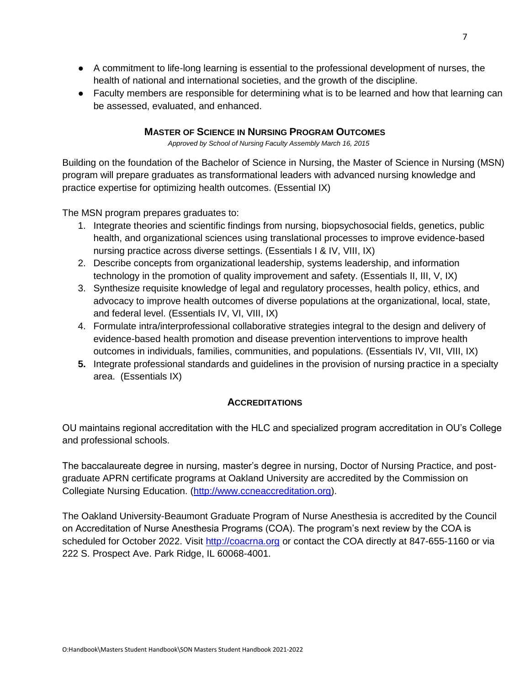- A commitment to life-long learning is essential to the professional development of nurses, the health of national and international societies, and the growth of the discipline.
- Faculty members are responsible for determining what is to be learned and how that learning can be assessed, evaluated, and enhanced.

#### **MASTER OF SCIENCE IN NURSING PROGRAM OUTCOMES**

*Approved by School of Nursing Faculty Assembly March 16, 2015*

<span id="page-6-0"></span>Building on the foundation of the Bachelor of Science in Nursing, the Master of Science in Nursing (MSN) program will prepare graduates as transformational leaders with advanced nursing knowledge and practice expertise for optimizing health outcomes. (Essential IX)

The MSN program prepares graduates to:

- 1. Integrate theories and scientific findings from nursing, biopsychosocial fields, genetics, public health, and organizational sciences using translational processes to improve evidence-based nursing practice across diverse settings. (Essentials I & IV, VIII, IX)
- 2. Describe concepts from organizational leadership, systems leadership, and information technology in the promotion of quality improvement and safety. (Essentials II, III, V, IX)
- 3. Synthesize requisite knowledge of legal and regulatory processes, health policy, ethics, and advocacy to improve health outcomes of diverse populations at the organizational, local, state, and federal level. (Essentials IV, VI, VIII, IX)
- 4. Formulate intra/interprofessional collaborative strategies integral to the design and delivery of evidence-based health promotion and disease prevention interventions to improve health outcomes in individuals, families, communities, and populations. (Essentials IV, VII, VIII, IX)
- **5.** Integrate professional standards and guidelines in the provision of nursing practice in a specialty area. (Essentials IX)

#### **ACCREDITATIONS**

<span id="page-6-1"></span>OU maintains regional accreditation with the HLC and specialized program accreditation in OU's College and professional schools.

The baccalaureate degree in nursing, master's degree in nursing, Doctor of Nursing Practice, and postgraduate APRN certificate programs at Oakland University are accredited by the Commission on Collegiate Nursing Education. [\(http://www.ccneaccreditation.org\)](http://www.ccneaccreditation.org/).

The Oakland University-Beaumont Graduate Program of Nurse Anesthesia is accredited by the Council on Accreditation of Nurse Anesthesia Programs (COA). The program's next review by the COA is scheduled for October 2022. Visit [http://coacrna.org](http://coacrna.org/) or contact the COA directly at 847-655-1160 or via 222 S. Prospect Ave. Park Ridge, IL 60068-4001.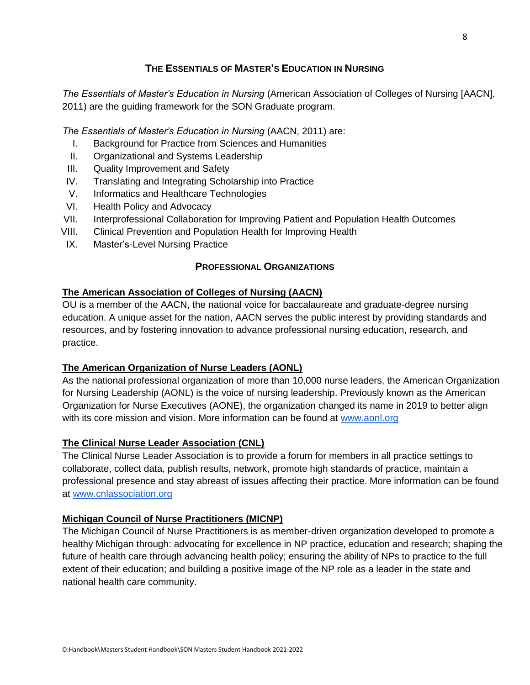## **THE ESSENTIALS OF MASTER'S EDUCATION IN NURSING**

<span id="page-7-0"></span>*The Essentials of Master's Education in Nursing* (American Association of Colleges of Nursing [AACN], 2011) are the guiding framework for the SON Graduate program.

*The Essentials of Master's Education in Nursing* (AACN, 2011) are:

- I. Background for Practice from Sciences and Humanities
- II. Organizational and Systems Leadership
- III. Quality Improvement and Safety
- IV. Translating and Integrating Scholarship into Practice
- V. Informatics and Healthcare Technologies
- VI. Health Policy and Advocacy
- VII. Interprofessional Collaboration for Improving Patient and Population Health Outcomes
- VIII. Clinical Prevention and Population Health for Improving Health
- <span id="page-7-1"></span>IX. Master's-Level Nursing Practice

## **PROFESSIONAL ORGANIZATIONS**

#### **The American Association of Colleges of Nursing (AACN)**

OU is a member of the AACN, the national voice for baccalaureate and graduate-degree nursing education. A unique asset for the nation, AACN serves the public interest by providing standards and resources, and by fostering innovation to advance professional nursing education, research, and practice.

#### **The American Organization of Nurse Leaders (AONL)**

As the national professional organization of more than 10,000 nurse leaders, the American Organization for Nursing Leadership (AONL) is the voice of nursing leadership. Previously known as the American Organization for Nurse Executives (AONE), the organization changed its name in 2019 to better align with its core mission and vision. More information can be found at [www.aonl.org](http://www.aonl.org/)

#### **The Clinical Nurse Leader Association (CNL)**

The Clinical Nurse Leader Association is to provide a forum for members in all practice settings to collaborate, collect data, publish results, network, promote high standards of practice, maintain a professional presence and stay abreast of issues affecting their practice. More information can be found at [www.cnlassociation.org](http://www.cnlassociation.org/)

#### **Michigan Council of Nurse Practitioners (MICNP)**

The Michigan Council of Nurse Practitioners is as member-driven organization developed to promote a healthy Michigan through: advocating for excellence in NP practice, education and research; shaping the future of health care through advancing health policy; ensuring the ability of NPs to practice to the full extent of their education; and building a positive image of the NP role as a leader in the state and national health care community.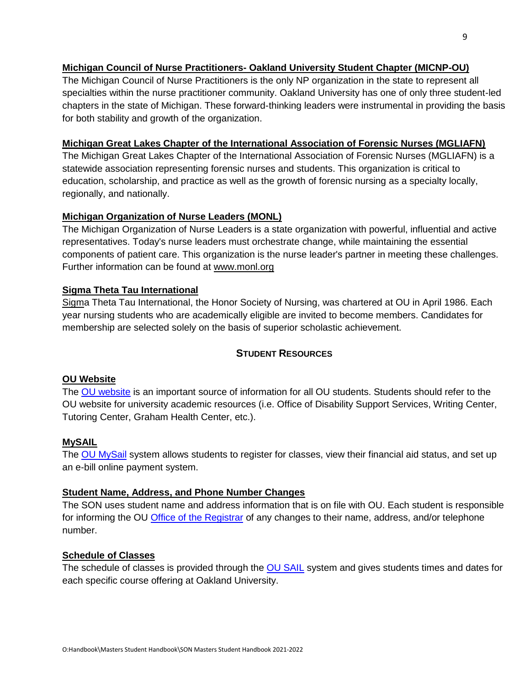#### **Michigan Council of Nurse Practitioners- Oakland University Student Chapter (MICNP-OU)**

The Michigan Council of Nurse Practitioners is the only NP organization in the state to represent all specialties within the nurse practitioner community. Oakland University has one of only three student-led chapters in the state of Michigan. These forward-thinking leaders were instrumental in providing the basis for both stability and growth of the organization.

#### **Michigan Great Lakes Chapter of the International Association of Forensic Nurses (MGLIAFN)**

The Michigan Great Lakes Chapter of the International Association of Forensic Nurses (MGLIAFN) is a statewide association representing forensic nurses and students. This organization is critical to education, scholarship, and practice as well as the growth of forensic nursing as a specialty locally, regionally, and nationally.

#### **Michigan Organization of Nurse Leaders (MONL)**

The Michigan Organization of Nurse Leaders is a state organization with powerful, influential and active representatives. Today's nurse leaders must orchestrate change, while maintaining the essential components of patient care. This organization is the nurse leader's partner in meeting these challenges. Further information can be found at [www.monl.org](http://www.monl.org/)

#### **Sigma Theta Tau International**

Sigma Theta Tau International, the Honor Society of Nursing, was chartered at OU in April 1986. Each year nursing students who are academically eligible are invited to become members. Candidates for membership are selected solely on the basis of superior scholastic achievement.

#### **STUDENT RESOURCES**

#### <span id="page-8-0"></span>**[OU Website](https://wwwp.oakland.edu/)**

The [OU website](https://www.oakland.edu/) is an important source of information for all OU students. Students should refer to the [OU website](https://wwwp.oakland.edu/) for university academic resources (i.e. Office of Disability Support Services, Writing Center, Tutoring Center, Graham Health Center, etc.).

#### **[MySAIL](https://sail.oakland.edu/PROD/twbkwbis.P_GenMenu?name=homepage)**

The [OU MySail](https://sail.oakland.edu/PROD/twbkwbis.P_GenMenu?name=homepage) system allows students to register for classes, view their financial aid status, and set up an e-bill online payment system.

#### **[Student Name, Address, and Phone Number Changes](https://oakland.edu/registrar/records/directory-information/)**

The SON uses student name and address information that is on file with OU. Each student is responsible for informing the OU [Office of the Registrar](https://oakland.edu/registrar/) of any changes to their name, address, and/or telephone number.

#### **[Schedule of Classes](https://sail.oakland.edu/PROD/bwckschd.p_disp_dyn_sched)**

The schedule of classes is provided through the [OU SAIL](https://sail.oakland.edu/PROD/twbkwbis.P_GenMenu?name=homepage) system and gives students times and dates for each specific course offering at Oakland University.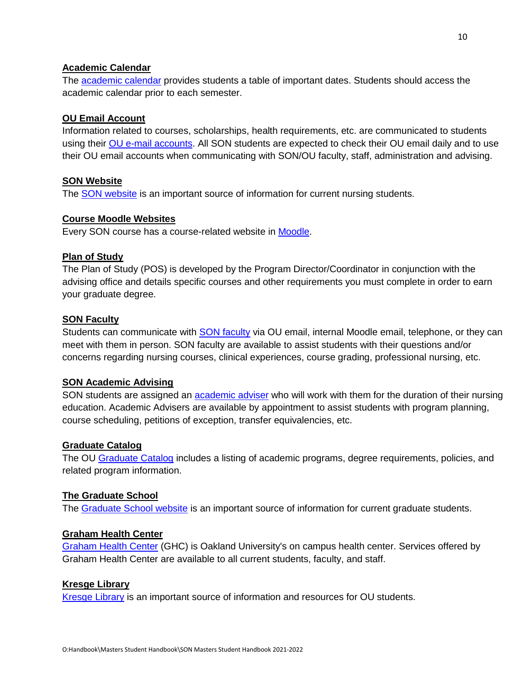#### **[Academic Calendar](https://www.oakland.edu/registrar/important-dates/)**

The **academic calendar** provides students a table of important dates. Students should access the academic calendar prior to each semester.

#### **[OU Email Account](https://oakland.edu/uts/student-services/email/)**

Information related to courses, scholarships, health requirements, etc. are communicated to students using their [OU e-mail accounts.](https://oakland.edu/uts/student-services/email/) All SON students are expected to check their OU email daily and to use their OU email accounts when communicating with SON/OU faculty, staff, administration and advising.

#### **[SON Website](https://wwwp.oakland.edu/nursing/)**

The [SON website](https://oakland.edu/nursing/) is an important source of information for current nursing students.

#### **[Course Moodle Websites](https://moodle.oakland.edu/login/index.php)**

Every SON course has a course-related website in [Moodle.](https://moodle.oakland.edu/login/index.php)

#### **Plan of Study**

The Plan of Study (POS) is developed by the Program Director/Coordinator in conjunction with the advising office and details specific courses and other requirements you must complete in order to earn your graduate degree.

#### **[SON Faculty](https://wwwp.oakland.edu/nursing/directory/)**

Students can communicate with **SON** faculty via OU email, internal Moodle email, telephone, or they can meet with them in person. SON faculty are available to assist students with their questions and/or concerns regarding nursing courses, clinical experiences, course grading, professional nursing, etc.

#### **[SON Academic Advising](https://wwwp.oakland.edu/nursing/directory/)**

SON students are assigned an **academic adviser** who will work with them for the duration of their nursing education. Academic Advisers are available by appointment to assist students with program planning, course scheduling, petitions of exception, transfer equivalencies, etc.

#### **[Graduate Catalog](http://catalog.oakland.edu/content.php?catoid=30&navoid=3277)**

The OU [Graduate Catalog](http://catalog.oakland.edu/index.php?catoid=47) includes a listing of academic programs, degree requirements, policies, and related program information.

#### **[The Graduate School](http://catalog.oakland.edu/content.php?catoid=30&navoid=3277)**

The [Graduate School website](https://oakland.edu/grad/) is an important source of information for current graduate students.

#### **[Graham Health Center](http://catalog.oakland.edu/content.php?catoid=30&navoid=3277)**

[Graham Health Center](https://oakland.edu/ghc/) (GHC) is Oakland University's on campus health center. Services offered by Graham Health Center are available to all current students, faculty, and staff.

#### **[Kresge Library](http://catalog.oakland.edu/content.php?catoid=30&navoid=3277)**

[Kresge Library](https://library.oakland.edu/) is an important source of information and resources for OU students.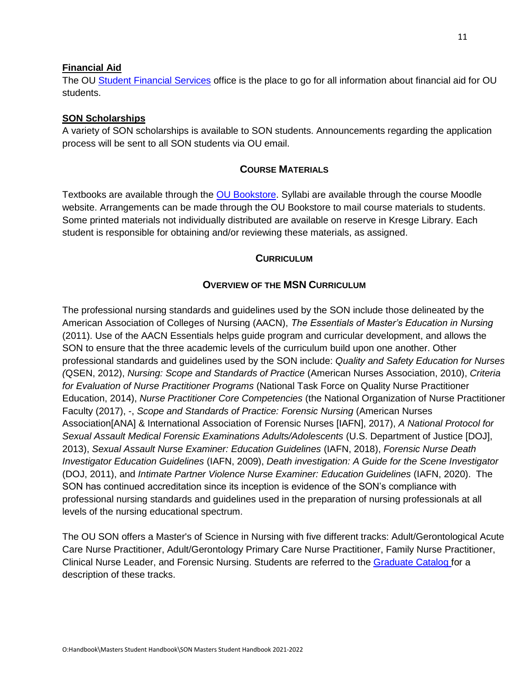#### **[Financial Aid](http://catalog.oakland.edu/content.php?catoid=30&navoid=3277)**

The OU [Student Financial Services](https://oakland.edu/financialservices/) office is the place to go for all information about financial aid for OU students.

#### **SON Scholarships**

A variety of SON scholarships is available to SON students. Announcements regarding the application process will be sent to all SON students via OU email.

#### **COURSE MATERIALS**

<span id="page-10-0"></span>Textbooks are available through the [OU Bookstore.](https://oakland.bncollege.com/shop/oakland/home) Syllabi are available through the course Moodle website. Arrangements can be made through the OU Bookstore to mail course materials to students. Some printed materials not individually distributed are available on reserve in Kresge Library. Each student is responsible for obtaining and/or reviewing these materials, as assigned.

#### **CURRICULUM**

#### **OVERVIEW OF THE MSN CURRICULUM**

<span id="page-10-2"></span><span id="page-10-1"></span>The professional nursing standards and guidelines used by the SON include those delineated by the American Association of Colleges of Nursing (AACN), *The Essentials of Master's Education in Nursing* (2011). Use of the AACN Essentials helps guide program and curricular development, and allows the SON to ensure that the three academic levels of the curriculum build upon one another. Other professional standards and guidelines used by the SON include: *Quality and Safety Education for Nurses (*QSEN, 2012), *Nursing: Scope and Standards of Practice* (American Nurses Association, 2010), *Criteria for Evaluation of Nurse Practitioner Programs* (National Task Force on Quality Nurse Practitioner Education, 2014), *Nurse Practitioner Core Competencies* (the National Organization of Nurse Practitioner Faculty (2017), -, *Scope and Standards of Practice: Forensic Nursing* (American Nurses Association[ANA] & International Association of Forensic Nurses [IAFN], 2017), *A National Protocol for Sexual Assault Medical Forensic Examinations Adults/Adolescents* (U.S. Department of Justice [DOJ], 2013), *Sexual Assault Nurse Examiner: Education Guidelines* (IAFN, 2018), *Forensic Nurse Death Investigator Education Guidelines* (IAFN, 2009), *Death investigation: A Guide for the Scene Investigator* (DOJ, 2011), and *Intimate Partner Violence Nurse Examiner: Education Guidelines* (IAFN, 2020). The SON has continued accreditation since its inception is evidence of the SON's compliance with professional nursing standards and guidelines used in the preparation of nursing professionals at all levels of the nursing educational spectrum.

The OU SON offers a Master's of Science in Nursing with five different tracks: Adult/Gerontological Acute Care Nurse Practitioner, Adult/Gerontology Primary Care Nurse Practitioner, Family Nurse Practitioner, Clinical Nurse Leader, and Forensic Nursing. Students are referred to the [Graduate Catalog](http://catalog.oakland.edu/index.php?catoid=47) for a description of these tracks.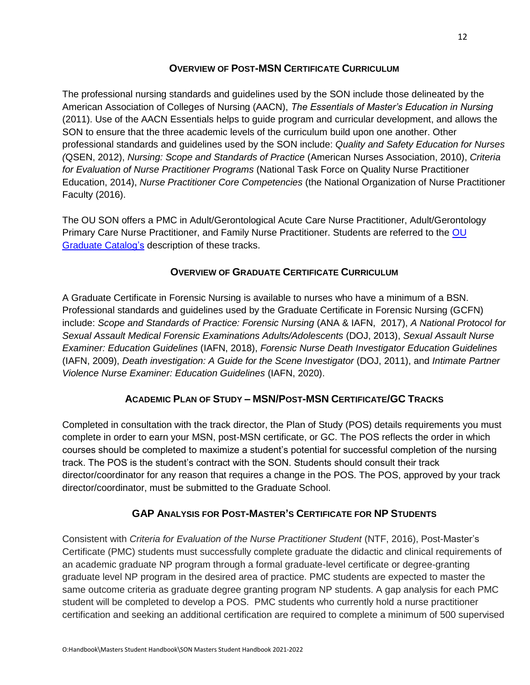#### **OVERVIEW OF POST-MSN CERTIFICATE CURRICULUM**

<span id="page-11-0"></span>The professional nursing standards and guidelines used by the SON include those delineated by the American Association of Colleges of Nursing (AACN), *The Essentials of Master's Education in Nursing* (2011). Use of the AACN Essentials helps to guide program and curricular development, and allows the SON to ensure that the three academic levels of the curriculum build upon one another. Other professional standards and guidelines used by the SON include: *Quality and Safety Education for Nurses (*QSEN, 2012), *Nursing: Scope and Standards of Practice* (American Nurses Association, 2010), *Criteria for Evaluation of Nurse Practitioner Programs* (National Task Force on Quality Nurse Practitioner Education, 2014), *Nurse Practitioner Core Competencies* (the National Organization of Nurse Practitioner Faculty (2016).

The OU SON offers a PMC in Adult/Gerontological Acute Care Nurse Practitioner, Adult/Gerontology Primary Care Nurse Practitioner, and Family Nurse Practitioner. Students are referred to the [OU](http://catalog.oakland.edu/index.php?catoid=47)  [Graduate Catalog's](http://catalog.oakland.edu/index.php?catoid=47) description of these tracks.

#### **OVERVIEW OF GRADUATE CERTIFICATE CURRICULUM**

<span id="page-11-1"></span>A Graduate Certificate in Forensic Nursing is available to nurses who have a minimum of a BSN. Professional standards and guidelines used by the Graduate Certificate in Forensic Nursing (GCFN) include: *Scope and Standards of Practice: Forensic Nursing* (ANA & IAFN, 2017), *A National Protocol for Sexual Assault Medical Forensic Examinations Adults/Adolescents* (DOJ, 2013), *Sexual Assault Nurse Examiner: Education Guidelines* (IAFN, 2018), *Forensic Nurse Death Investigator Education Guidelines*  (IAFN, 2009), *Death investigation: A Guide for the Scene Investigator* (DOJ, 2011), and *Intimate Partner Violence Nurse Examiner: Education Guidelines* (IAFN, 2020).

## **ACADEMIC PLAN OF STUDY – MSN/POST-MSN CERTIFICATE/GC TRACKS**

<span id="page-11-2"></span>Completed in consultation with the track director, the Plan of Study (POS) details requirements you must complete in order to earn your MSN, post-MSN certificate, or GC. The POS reflects the order in which courses should be completed to maximize a student's potential for successful completion of the nursing track. The POS is the student's contract with the SON. Students should consult their track director/coordinator for any reason that requires a change in the POS. The POS, approved by your track director/coordinator, must be submitted to the Graduate School.

## **GAP ANALYSIS FOR POST-MASTER'S CERTIFICATE FOR NP STUDENTS**

<span id="page-11-3"></span>Consistent with *Criteria for Evaluation of the Nurse Practitioner Student* (NTF, 2016), Post-Master's Certificate (PMC) students must successfully complete graduate the didactic and clinical requirements of an academic graduate NP program through a formal graduate-level certificate or degree-granting graduate level NP program in the desired area of practice. PMC students are expected to master the same outcome criteria as graduate degree granting program NP students. A gap analysis for each PMC student will be completed to develop a POS. PMC students who currently hold a nurse practitioner certification and seeking an additional certification are required to complete a minimum of 500 supervised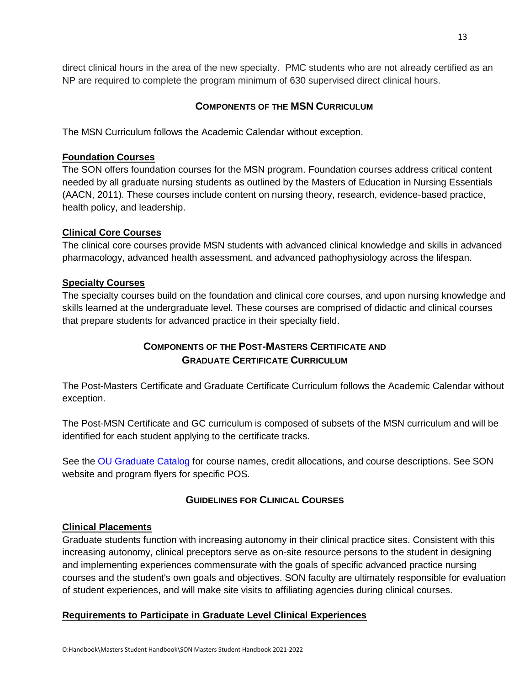direct clinical hours in the area of the new specialty. PMC students who are not already certified as an NP are required to complete the program minimum of 630 supervised direct clinical hours.

#### **COMPONENTS OF THE MSN CURRICULUM**

<span id="page-12-0"></span>The MSN Curriculum follows the Academic Calendar without exception.

#### **Foundation Courses**

The SON offers foundation courses for the MSN program. Foundation courses address critical content needed by all graduate nursing students as outlined by the Masters of Education in Nursing Essentials (AACN, 2011). These courses include content on nursing theory, research, evidence-based practice, health policy, and leadership.

#### **Clinical Core Courses**

The clinical core courses provide MSN students with advanced clinical knowledge and skills in advanced pharmacology, advanced health assessment, and advanced pathophysiology across the lifespan.

#### **Specialty Courses**

The specialty courses build on the foundation and clinical core courses, and upon nursing knowledge and skills learned at the undergraduate level. These courses are comprised of didactic and clinical courses that prepare students for advanced practice in their specialty field.

## **COMPONENTS OF THE POST-MASTERS CERTIFICATE AND GRADUATE CERTIFICATE CURRICULUM**

<span id="page-12-2"></span><span id="page-12-1"></span>The Post-Masters Certificate and Graduate Certificate Curriculum follows the Academic Calendar without exception.

The Post-MSN Certificate and GC curriculum is composed of subsets of the MSN curriculum and will be identified for each student applying to the certificate tracks.

See the [OU Graduate Catalog](http://catalog.oakland.edu/index.php?catoid=47) for course names, credit allocations, and course descriptions. See SON website and program flyers for specific POS.

#### **GUIDELINES FOR CLINICAL COURSES**

#### <span id="page-12-3"></span>**Clinical Placements**

Graduate students function with increasing autonomy in their clinical practice sites. Consistent with this increasing autonomy, clinical preceptors serve as on-site resource persons to the student in designing and implementing experiences commensurate with the goals of specific advanced practice nursing courses and the student's own goals and objectives. SON faculty are ultimately responsible for evaluation of student experiences, and will make site visits to affiliating agencies during clinical courses.

#### **Requirements to Participate in Graduate Level Clinical Experiences**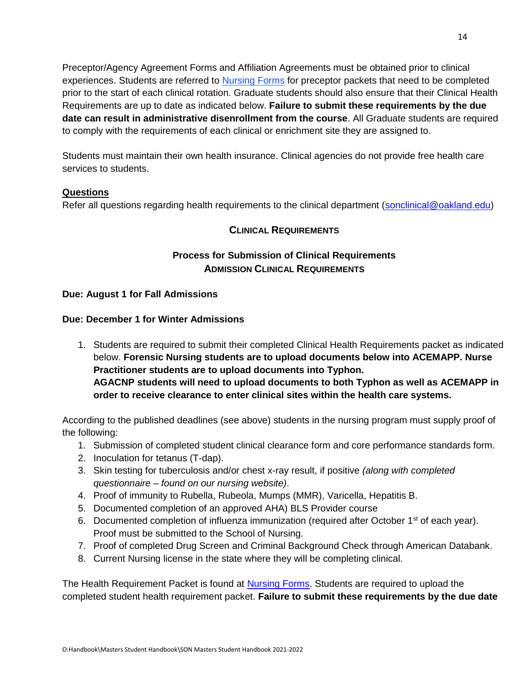14

Preceptor/Agency Agreement Forms and Affiliation Agreements must be obtained prior to clinical experiences. Students are referred to [Nursing Forms](https://oakland.edu/nursing/student-resources/forms/) for preceptor packets that need to be completed prior to the start of each clinical rotation. Graduate students should also ensure that their Clinical Health Requirements are up to date as indicated below. **Failure to submit these requirements by the due date can result in administrative disenrollment from the course**. All Graduate students are required to comply with the requirements of each clinical or enrichment site they are assigned to.

Students must maintain their own health insurance. Clinical agencies do not provide free health care services to students.

#### **Questions**

<span id="page-13-0"></span>Refer all questions regarding health requirements to the clinical department [\(sonclinical@oakland.edu\)](mailto:sonclinical@oakland.edu)

#### **CLINICAL REQUIREMENTS**

## **Process for Submission of Clinical Requirements ADMISSION CLINICAL REQUIREMENTS**

#### <span id="page-13-1"></span>**Due: August 1 for Fall Admissions**

#### **Due: December 1 for Winter Admissions**

1. Students are required to submit their completed Clinical Health Requirements packet as indicated below. **Forensic Nursing students are to upload documents below into ACEMAPP. Nurse Practitioner students are to upload documents into Typhon. AGACNP students will need to upload documents to both Typhon as well as ACEMAPP in order to receive clearance to enter clinical sites within the health care systems.** 

According to the published deadlines (see above) students in the nursing program must supply proof of the following:

- 1. Submission of completed student clinical clearance form and core performance standards form.
- 2. Inoculation for tetanus (T-dap).
- 3. Skin testing for tuberculosis and/or chest x-ray result, if positive *(along with completed questionnaire – found on our nursing website)*.
- 4. Proof of immunity to Rubella, Rubeola, Mumps (MMR), Varicella, Hepatitis B.
- 5. Documented completion of an approved AHA) BLS Provider course
- 6. Documented completion of influenza immunization (required after October  $1<sup>st</sup>$  of each year). Proof must be submitted to the School of Nursing.
- 7. Proof of completed Drug Screen and Criminal Background Check through American Databank.
- 8. Current Nursing license in the state where they will be completing clinical.

The Health Requirement Packet is found at [Nursing Forms.](https://www.oakland.edu/nursing/student-resources/forms/) Students are required to upload the completed student health requirement packet. **Failure to submit these requirements by the due date**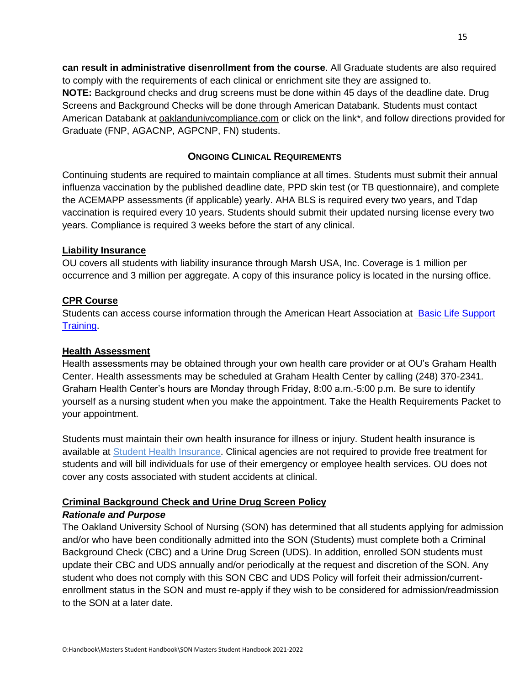**can result in administrative disenrollment from the course**. All Graduate students are also required to comply with the requirements of each clinical or enrichment site they are assigned to. **NOTE:** Background checks and drug screens must be done within 45 days of the deadline date. Drug Screens and Background Checks will be done through American Databank. Students must contact American Databank at [oaklandunivcompliance.com](http://www.oaklandunivcompliance.com/) or click on the link\*, and follow directions provided for Graduate (FNP, AGACNP, AGPCNP, FN) students.

#### **ONGOING CLINICAL REQUIREMENTS**

<span id="page-14-0"></span>Continuing students are required to maintain compliance at all times. Students must submit their annual influenza vaccination by the published deadline date, PPD skin test (or TB questionnaire), and complete the ACEMAPP assessments (if applicable) yearly. AHA BLS is required every two years, and Tdap vaccination is required every 10 years. Students should submit their updated nursing license every two years. Compliance is required 3 weeks before the start of any clinical.

#### **Liability Insurance**

OU covers all students with liability insurance through Marsh USA, Inc. Coverage is 1 million per occurrence and 3 million per aggregate. A copy of this insurance policy is located in the nursing office.

#### **CPR Course**

Students can access course information through the American Heart Association at Basic Life Support [Training.](https://cpr.heart.org/en/cpr-courses-and-kits/healthcare-professional/basic-life-support-bls-training)

#### **Health Assessment**

Health assessments may be obtained through your own health care provider or at OU's Graham Health Center. Health assessments may be scheduled at Graham Health Center by calling (248) 370-2341. Graham Health Center's hours are Monday through Friday, 8:00 a.m.-5:00 p.m. Be sure to identify yourself as a nursing student when you make the appointment. Take the Health Requirements Packet to your appointment.

Students must maintain their own health insurance for illness or injury. Student health insurance is available at [Student Health Insurance.](https://4studenthealth.relationinsurance.com/plan/student-health-insurance-plan-ship-2018-2019-7668/) Clinical agencies are not required to provide free treatment for students and will bill individuals for use of their emergency or employee health services. OU does not cover any costs associated with student accidents at clinical.

## <span id="page-14-1"></span>**Criminal Background Check and Urine Drug Screen Policy**

#### *Rationale and Purpose*

The Oakland University School of Nursing (SON) has determined that all students applying for admission and/or who have been conditionally admitted into the SON (Students) must complete both a Criminal Background Check (CBC) and a Urine Drug Screen (UDS). In addition, enrolled SON students must update their CBC and UDS annually and/or periodically at the request and discretion of the SON. Any student who does not comply with this SON CBC and UDS Policy will forfeit their admission/currentenrollment status in the SON and must re-apply if they wish to be considered for admission/readmission to the SON at a later date.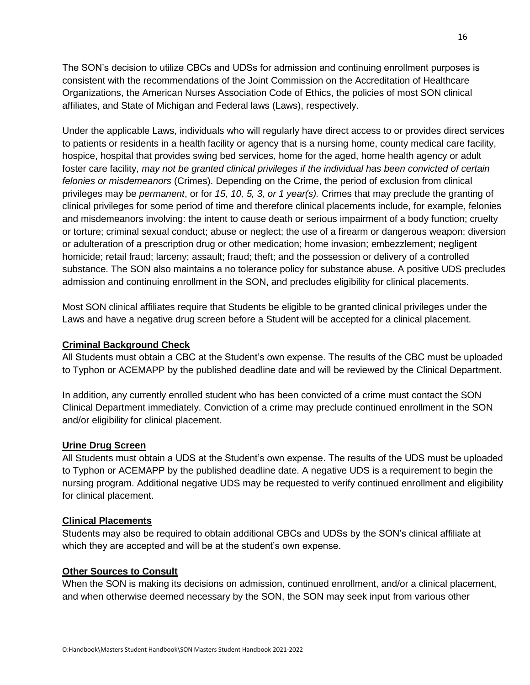The SON's decision to utilize CBCs and UDSs for admission and continuing enrollment purposes is consistent with the recommendations of the Joint Commission on the Accreditation of Healthcare Organizations, the American Nurses Association Code of Ethics, the policies of most SON clinical affiliates, and State of Michigan and Federal laws (Laws), respectively.

Under the applicable Laws, individuals who will regularly have direct access to or provides direct services to patients or residents in a health facility or agency that is a nursing home, county medical care facility, hospice, hospital that provides swing bed services, home for the aged, home health agency or adult foster care facility, *may not be granted clinical privileges if the individual has been convicted of certain felonies or misdemeanors* (Crimes). Depending on the Crime, the period of exclusion from clinical privileges may be *permanent*, or for *15, 10, 5, 3, or 1 year(s).* Crimes that may preclude the granting of clinical privileges for some period of time and therefore clinical placements include, for example, felonies and misdemeanors involving: the intent to cause death or serious impairment of a body function; cruelty or torture; criminal sexual conduct; abuse or neglect; the use of a firearm or dangerous weapon; diversion or adulteration of a prescription drug or other medication; home invasion; embezzlement; negligent homicide; retail fraud; larceny; assault; fraud; theft; and the possession or delivery of a controlled substance. The SON also maintains a no tolerance policy for substance abuse. A positive UDS precludes admission and continuing enrollment in the SON, and precludes eligibility for clinical placements.

Most SON clinical affiliates require that Students be eligible to be granted clinical privileges under the Laws and have a negative drug screen before a Student will be accepted for a clinical placement.

#### **Criminal Background Check**

All Students must obtain a CBC at the Student's own expense. The results of the CBC must be uploaded to Typhon or ACEMAPP by the published deadline date and will be reviewed by the Clinical Department.

In addition, any currently enrolled student who has been convicted of a crime must contact the SON Clinical Department immediately. Conviction of a crime may preclude continued enrollment in the SON and/or eligibility for clinical placement.

#### **Urine Drug Screen**

All Students must obtain a UDS at the Student's own expense. The results of the UDS must be uploaded to Typhon or ACEMAPP by the published deadline date. A negative UDS is a requirement to begin the nursing program. Additional negative UDS may be requested to verify continued enrollment and eligibility for clinical placement.

#### **Clinical Placements**

Students may also be required to obtain additional CBCs and UDSs by the SON's clinical affiliate at which they are accepted and will be at the student's own expense.

#### **Other Sources to Consult**

When the SON is making its decisions on admission, continued enrollment, and/or a clinical placement, and when otherwise deemed necessary by the SON, the SON may seek input from various other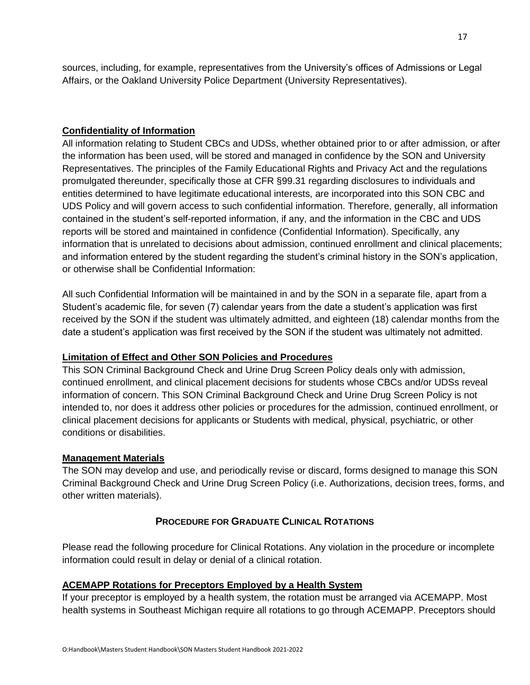sources, including, for example, representatives from the University's offices of Admissions or Legal Affairs, or the Oakland University Police Department (University Representatives).

#### **Confidentiality of Information**

All information relating to Student CBCs and UDSs, whether obtained prior to or after admission, or after the information has been used, will be stored and managed in confidence by the SON and University Representatives. The principles of the Family Educational Rights and Privacy Act and the regulations promulgated thereunder, specifically those at CFR §99.31 regarding disclosures to individuals and entities determined to have legitimate educational interests, are incorporated into this SON CBC and UDS Policy and will govern access to such confidential information. Therefore, generally, all information contained in the student's self-reported information, if any, and the information in the CBC and UDS reports will be stored and maintained in confidence (Confidential Information). Specifically, any information that is unrelated to decisions about admission, continued enrollment and clinical placements; and information entered by the student regarding the student's criminal history in the SON's application, or otherwise shall be Confidential Information:

All such Confidential Information will be maintained in and by the SON in a separate file, apart from a Student's academic file, for seven (7) calendar years from the date a student's application was first received by the SON if the student was ultimately admitted, and eighteen (18) calendar months from the date a student's application was first received by the SON if the student was ultimately not admitted.

#### **Limitation of Effect and Other SON Policies and Procedures**

This SON Criminal Background Check and Urine Drug Screen Policy deals only with admission, continued enrollment, and clinical placement decisions for students whose CBCs and/or UDSs reveal information of concern. This SON Criminal Background Check and Urine Drug Screen Policy is not intended to, nor does it address other policies or procedures for the admission, continued enrollment, or clinical placement decisions for applicants or Students with medical, physical, psychiatric, or other conditions or disabilities.

#### **Management Materials**

The SON may develop and use, and periodically revise or discard, forms designed to manage this SON Criminal Background Check and Urine Drug Screen Policy (i.e. Authorizations, decision trees, forms, and other written materials).

#### **PROCEDURE FOR GRADUATE CLINICAL ROTATIONS**

<span id="page-16-0"></span>Please read the following procedure for Clinical Rotations. Any violation in the procedure or incomplete information could result in delay or denial of a clinical rotation.

#### **ACEMAPP Rotations for Preceptors Employed by a Health System**

If your preceptor is employed by a health system, the rotation must be arranged via ACEMAPP. Most health systems in Southeast Michigan require all rotations to go through ACEMAPP. Preceptors should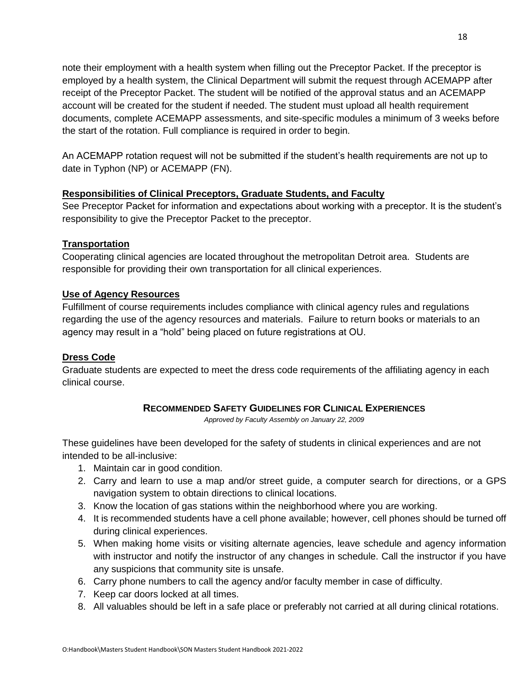note their employment with a health system when filling out the Preceptor Packet. If the preceptor is employed by a health system, the Clinical Department will submit the request through ACEMAPP after receipt of the Preceptor Packet. The student will be notified of the approval status and an ACEMAPP account will be created for the student if needed. The student must upload all health requirement documents, complete ACEMAPP assessments, and site-specific modules a minimum of 3 weeks before the start of the rotation. Full compliance is required in order to begin.

An ACEMAPP rotation request will not be submitted if the student's health requirements are not up to date in Typhon (NP) or ACEMAPP (FN).

#### **Responsibilities of Clinical Preceptors, Graduate Students, and Faculty**

See Preceptor Packet for information and expectations about working with a preceptor. It is the student's responsibility to give the Preceptor Packet to the preceptor.

#### **Transportation**

Cooperating clinical agencies are located throughout the metropolitan Detroit area. Students are responsible for providing their own transportation for all clinical experiences.

#### **Use of Agency Resources**

Fulfillment of course requirements includes compliance with clinical agency rules and regulations regarding the use of the agency resources and materials. Failure to return books or materials to an agency may result in a "hold" being placed on future registrations at OU.

#### **Dress Code**

Graduate students are expected to meet the dress code requirements of the affiliating agency in each clinical course.

#### **RECOMMENDED SAFETY GUIDELINES FOR CLINICAL EXPERIENCES**

*Approved by Faculty Assembly on January 22, 2009*

<span id="page-17-0"></span>These guidelines have been developed for the safety of students in clinical experiences and are not intended to be all-inclusive:

- 1. Maintain car in good condition.
- 2. Carry and learn to use a map and/or street guide, a computer search for directions, or a GPS navigation system to obtain directions to clinical locations.
- 3. Know the location of gas stations within the neighborhood where you are working.
- 4. It is recommended students have a cell phone available; however, cell phones should be turned off during clinical experiences.
- 5. When making home visits or visiting alternate agencies, leave schedule and agency information with instructor and notify the instructor of any changes in schedule. Call the instructor if you have any suspicions that community site is unsafe.
- 6. Carry phone numbers to call the agency and/or faculty member in case of difficulty.
- 7. Keep car doors locked at all times.
- 8. All valuables should be left in a safe place or preferably not carried at all during clinical rotations.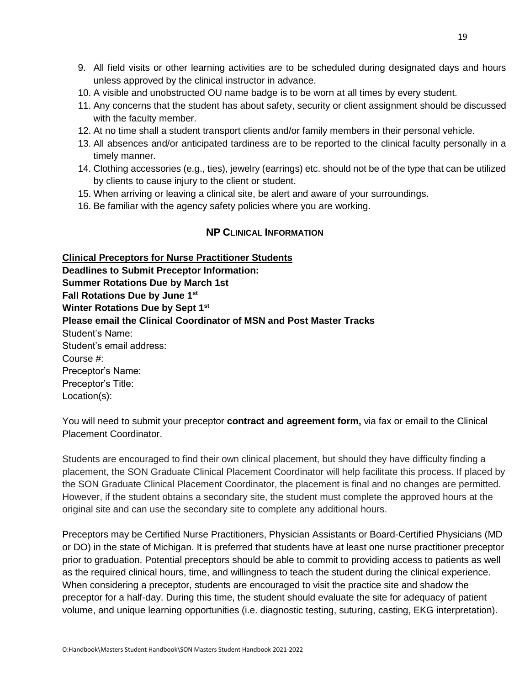- 9. All field visits or other learning activities are to be scheduled during designated days and hours unless approved by the clinical instructor in advance.
- 10. A visible and unobstructed OU name badge is to be worn at all times by every student.
- 11. Any concerns that the student has about safety, security or client assignment should be discussed with the faculty member.
- 12. At no time shall a student transport clients and/or family members in their personal vehicle.
- 13. All absences and/or anticipated tardiness are to be reported to the clinical faculty personally in a timely manner.
- 14. Clothing accessories (e.g., ties), jewelry (earrings) etc. should not be of the type that can be utilized by clients to cause injury to the client or student.
- 15. When arriving or leaving a clinical site, be alert and aware of your surroundings.
- 16. Be familiar with the agency safety policies where you are working.

#### **NP CLINICAL INFORMATION**

<span id="page-18-0"></span>**Clinical Preceptors for Nurse Practitioner Students Deadlines to Submit Preceptor Information: Summer Rotations Due by March 1st Fall Rotations Due by June 1st Winter Rotations Due by Sept 1st Please email the Clinical Coordinator of MSN and Post Master Tracks**  Student's Name: Student's email address: Course #: Preceptor's Name: Preceptor's Title: Location(s):

You will need to submit your preceptor **contract and agreement form,** via fax or email to the Clinical Placement Coordinator.

Students are encouraged to find their own clinical placement, but should they have difficulty finding a placement, the SON Graduate Clinical Placement Coordinator will help facilitate this process. If placed by the SON Graduate Clinical Placement Coordinator, the placement is final and no changes are permitted. However, if the student obtains a secondary site, the student must complete the approved hours at the original site and can use the secondary site to complete any additional hours.

Preceptors may be Certified Nurse Practitioners, Physician Assistants or Board-Certified Physicians (MD or DO) in the state of Michigan. It is preferred that students have at least one nurse practitioner preceptor prior to graduation. Potential preceptors should be able to commit to providing access to patients as well as the required clinical hours, time, and willingness to teach the student during the clinical experience. When considering a preceptor, students are encouraged to visit the practice site and shadow the preceptor for a half-day. During this time, the student should evaluate the site for adequacy of patient volume, and unique learning opportunities (i.e. diagnostic testing, suturing, casting, EKG interpretation).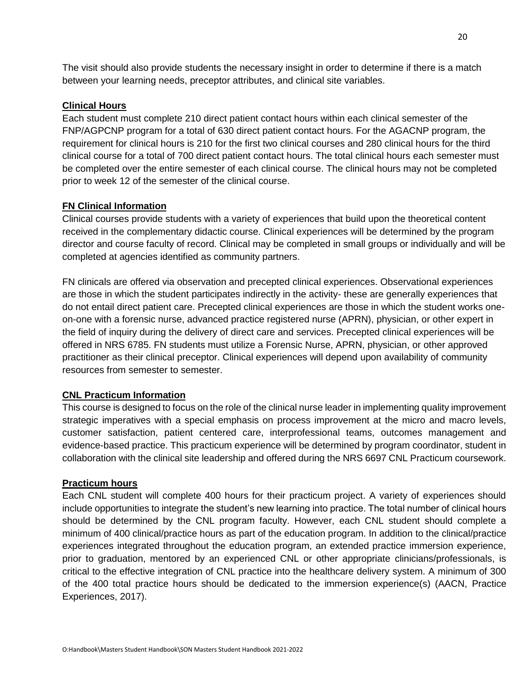The visit should also provide students the necessary insight in order to determine if there is a match between your learning needs, preceptor attributes, and clinical site variables.

#### **Clinical Hours**

Each student must complete 210 direct patient contact hours within each clinical semester of the FNP/AGPCNP program for a total of 630 direct patient contact hours. For the AGACNP program, the requirement for clinical hours is 210 for the first two clinical courses and 280 clinical hours for the third clinical course for a total of 700 direct patient contact hours. The total clinical hours each semester must be completed over the entire semester of each clinical course. The clinical hours may not be completed prior to week 12 of the semester of the clinical course.

#### **FN Clinical Information**

Clinical courses provide students with a variety of experiences that build upon the theoretical content received in the complementary didactic course. Clinical experiences will be determined by the program director and course faculty of record. Clinical may be completed in small groups or individually and will be completed at agencies identified as community partners.

FN clinicals are offered via observation and precepted clinical experiences. Observational experiences are those in which the student participates indirectly in the activity- these are generally experiences that do not entail direct patient care. Precepted clinical experiences are those in which the student works oneon-one with a forensic nurse, advanced practice registered nurse (APRN), physician, or other expert in the field of inquiry during the delivery of direct care and services. Precepted clinical experiences will be offered in NRS 6785. FN students must utilize a Forensic Nurse, APRN, physician, or other approved practitioner as their clinical preceptor. Clinical experiences will depend upon availability of community resources from semester to semester.

#### **CNL Practicum Information**

This course is designed to focus on the role of the clinical nurse leader in implementing quality improvement strategic imperatives with a special emphasis on process improvement at the micro and macro levels, customer satisfaction, patient centered care, interprofessional teams, outcomes management and evidence-based practice. This practicum experience will be determined by program coordinator, student in collaboration with the clinical site leadership and offered during the NRS 6697 CNL Practicum coursework.

#### **Practicum hours**

Each CNL student will complete 400 hours for their practicum project. A variety of experiences should include opportunities to integrate the student's new learning into practice. The total number of clinical hours should be determined by the CNL program faculty. However, each CNL student should complete a minimum of 400 clinical/practice hours as part of the education program. In addition to the clinical/practice experiences integrated throughout the education program, an extended practice immersion experience, prior to graduation, mentored by an experienced CNL or other appropriate clinicians/professionals, is critical to the effective integration of CNL practice into the healthcare delivery system. A minimum of 300 of the 400 total practice hours should be dedicated to the immersion experience(s) (AACN, Practice Experiences, 2017).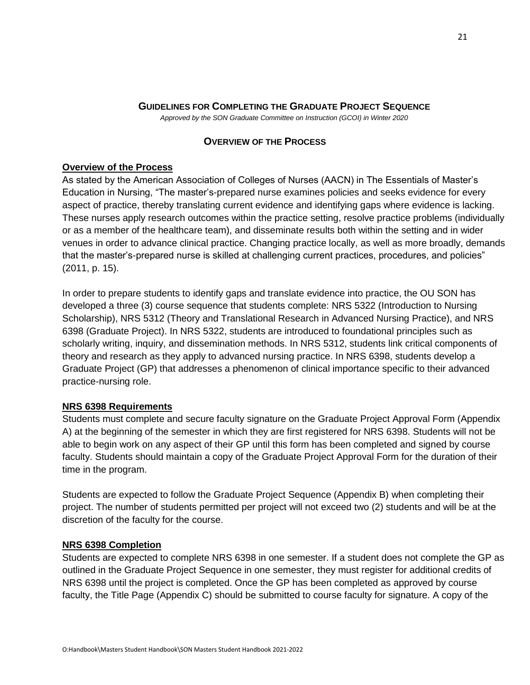#### **GUIDELINES FOR COMPLETING THE GRADUATE PROJECT SEQUENCE**

*Approved by the SON Graduate Committee on Instruction (GCOI) in Winter 2020*

#### **OVERVIEW OF THE PROCESS**

#### <span id="page-20-1"></span><span id="page-20-0"></span>**Overview of the Process**

As stated by the American Association of Colleges of Nurses (AACN) in The Essentials of Master's Education in Nursing, "The master's-prepared nurse examines policies and seeks evidence for every aspect of practice, thereby translating current evidence and identifying gaps where evidence is lacking. These nurses apply research outcomes within the practice setting, resolve practice problems (individually or as a member of the healthcare team), and disseminate results both within the setting and in wider venues in order to advance clinical practice. Changing practice locally, as well as more broadly, demands that the master's-prepared nurse is skilled at challenging current practices, procedures, and policies" (2011, p. 15).

In order to prepare students to identify gaps and translate evidence into practice, the OU SON has developed a three (3) course sequence that students complete: NRS 5322 (Introduction to Nursing Scholarship), NRS 5312 (Theory and Translational Research in Advanced Nursing Practice), and NRS 6398 (Graduate Project). In NRS 5322, students are introduced to foundational principles such as scholarly writing, inquiry, and dissemination methods. In NRS 5312, students link critical components of theory and research as they apply to advanced nursing practice. In NRS 6398, students develop a Graduate Project (GP) that addresses a phenomenon of clinical importance specific to their advanced practice-nursing role.

#### **NRS 6398 Requirements**

Students must complete and secure faculty signature on the Graduate Project Approval Form (Appendix A) at the beginning of the semester in which they are first registered for NRS 6398. Students will not be able to begin work on any aspect of their GP until this form has been completed and signed by course faculty. Students should maintain a copy of the Graduate Project Approval Form for the duration of their time in the program.

Students are expected to follow the Graduate Project Sequence (Appendix B) when completing their project. The number of students permitted per project will not exceed two (2) students and will be at the discretion of the faculty for the course.

#### **NRS 6398 Completion**

Students are expected to complete NRS 6398 in one semester. If a student does not complete the GP as outlined in the Graduate Project Sequence in one semester, they must register for additional credits of NRS 6398 until the project is completed. Once the GP has been completed as approved by course faculty, the Title Page (Appendix C) should be submitted to course faculty for signature. A copy of the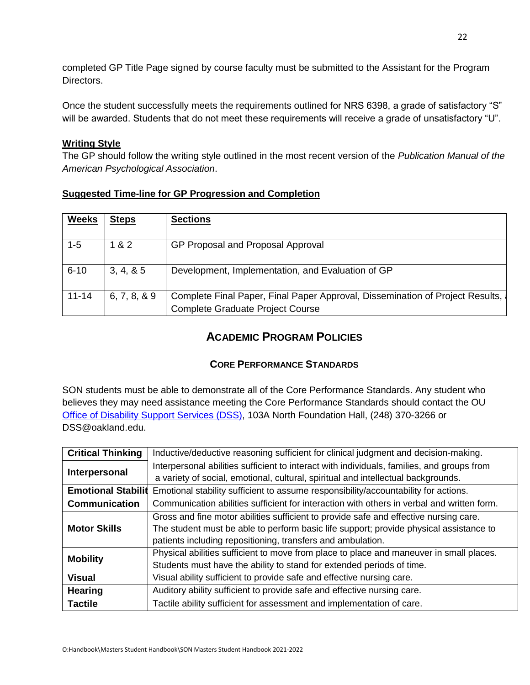completed GP Title Page signed by course faculty must be submitted to the Assistant for the Program Directors.

Once the student successfully meets the requirements outlined for NRS 6398, a grade of satisfactory "S" will be awarded. Students that do not meet these requirements will receive a grade of unsatisfactory "U".

#### **Writing Style**

The GP should follow the writing style outlined in the most recent version of the *Publication Manual of the American Psychological Association*.

| Suggested Time-line for GP Progression and Completion |  |  |  |  |  |  |
|-------------------------------------------------------|--|--|--|--|--|--|
|-------------------------------------------------------|--|--|--|--|--|--|

| <b>Weeks</b> | <b>Steps</b>  | <b>Sections</b>                                                                                                          |
|--------------|---------------|--------------------------------------------------------------------------------------------------------------------------|
| $1 - 5$      | 1 & 2         | GP Proposal and Proposal Approval                                                                                        |
| $6 - 10$     | 3, 4, 8, 5    | Development, Implementation, and Evaluation of GP                                                                        |
| $11 - 14$    | 6, 7, 8, 8, 9 | Complete Final Paper, Final Paper Approval, Dissemination of Project Results,<br><b>Complete Graduate Project Course</b> |

## **ACADEMIC PROGRAM POLICIES**

#### **CORE PERFORMANCE STANDARDS**

<span id="page-21-1"></span><span id="page-21-0"></span>SON students must be able to demonstrate all of the Core Performance Standards. Any student who believes they may need assistance meeting the Core Performance Standards should contact the OU [Office of Disability Support Services \(DSS\),](https://oakland.edu/dss/) 103A North Foundation Hall, (248) 370-3266 or [DSS@oakland.edu.](mailto:DSS@oakland.edu)

| <b>Critical Thinking</b>  | Inductive/deductive reasoning sufficient for clinical judgment and decision-making.        |
|---------------------------|--------------------------------------------------------------------------------------------|
| Interpersonal             | Interpersonal abilities sufficient to interact with individuals, families, and groups from |
|                           | a variety of social, emotional, cultural, spiritual and intellectual backgrounds.          |
| <b>Emotional Stabilit</b> | Emotional stability sufficient to assume responsibility/accountability for actions.        |
| <b>Communication</b>      | Communication abilities sufficient for interaction with others in verbal and written form. |
|                           | Gross and fine motor abilities sufficient to provide safe and effective nursing care.      |
| <b>Motor Skills</b>       | The student must be able to perform basic life support; provide physical assistance to     |
|                           | patients including repositioning, transfers and ambulation.                                |
| <b>Mobility</b>           | Physical abilities sufficient to move from place to place and maneuver in small places.    |
|                           | Students must have the ability to stand for extended periods of time.                      |
| <b>Visual</b>             | Visual ability sufficient to provide safe and effective nursing care.                      |
| <b>Hearing</b>            | Auditory ability sufficient to provide safe and effective nursing care.                    |
| <b>Tactile</b>            | Tactile ability sufficient for assessment and implementation of care.                      |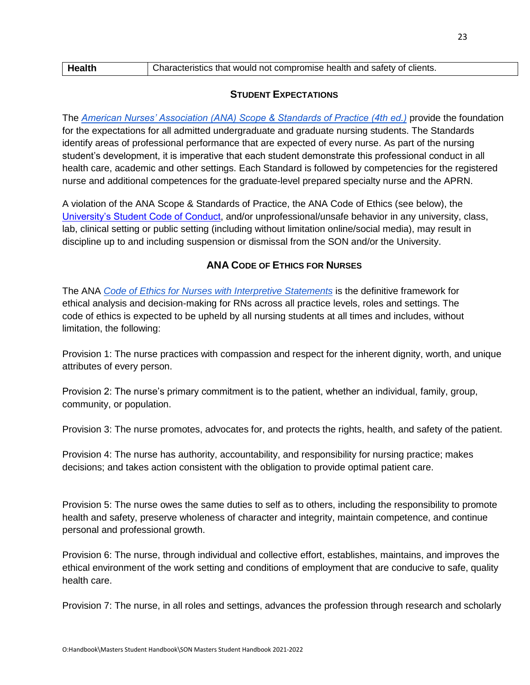| <b>Health</b> | Characteristics that would not compromise health and safety of clients. |
|---------------|-------------------------------------------------------------------------|
|               |                                                                         |

#### **STUDENT EXPECTATIONS**

<span id="page-22-0"></span>Th[e](https://www.nursingworld.org/nurses-books/nursing-scope-and-standards-of-practice-3rd-ed/) *[American Nurses' Association \(ANA\) Scope & Standards of Practice \(4th ed.\)](https://www.nursingworld.org/nurses-books/nursing-scope-and-standards-of-practice-4th-edit/)* provide the foundation for the expectations for all admitted undergraduate and graduate nursing students. The Standards identify areas of professional performance that are expected of every nurse. As part of the nursing student's development, it is imperative that each student demonstrate this professional conduct in all health care, academic and other settings. Each Standard is followed by competencies for the registered nurse and additional competences for the graduate-level prepared specialty nurse and the APRN.

A violation of the ANA Scope & Standards of Practice, the ANA Code of Ethics (see below), the [University's Student Code of Conduct,](https://oakland.edu/deanofstudents/student-code-of-conduct/core-standards-and-behavioral-expectations/) and/or unprofessional/unsafe behavior in any university, class, lab, clinical setting or public setting (including without limitation online/social media), may result in discipline up to and including suspension or dismissal from the SON and/or the University.

## **ANA CODE OF ETHICS FOR NURSES**

<span id="page-22-1"></span>The AN[A](https://www.nursingworld.org/nurses-books/code-of-ethics-for-nurses/) *[Code of Ethics for Nurses with Interpretive Statements](https://www.nursingworld.org/nurses-books/code-of-ethics-for-nurses/)* is the definitive framework for ethical analysis and decision-making for RNs across all practice levels, roles and settings. The code of ethics is expected to be upheld by all nursing students at all times and includes, without limitation, the following:

Provision 1: The nurse practices with compassion and respect for the inherent dignity, worth, and unique attributes of every person.

Provision 2: The nurse's primary commitment is to the patient, whether an individual, family, group, community, or population.

Provision 3: The nurse promotes, advocates for, and protects the rights, health, and safety of the patient.

Provision 4: The nurse has authority, accountability, and responsibility for nursing practice; makes decisions; and takes action consistent with the obligation to provide optimal patient care.

Provision 5: The nurse owes the same duties to self as to others, including the responsibility to promote health and safety, preserve wholeness of character and integrity, maintain competence, and continue personal and professional growth.

Provision 6: The nurse, through individual and collective effort, establishes, maintains, and improves the ethical environment of the work setting and conditions of employment that are conducive to safe, quality health care.

Provision 7: The nurse, in all roles and settings, advances the profession through research and scholarly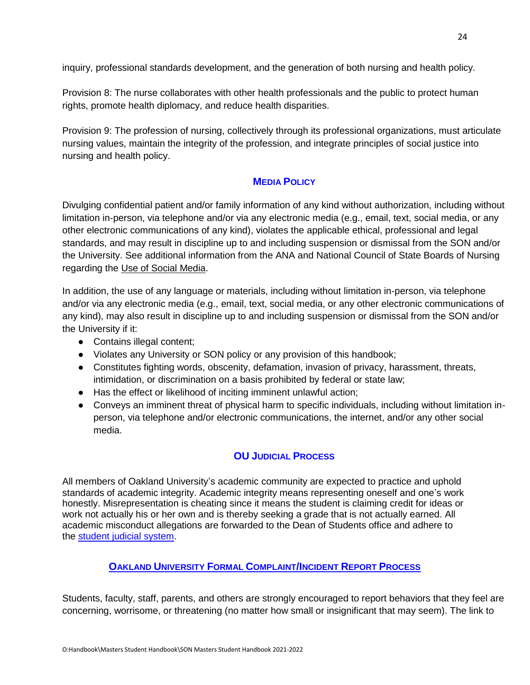inquiry, professional standards development, and the generation of both nursing and health policy.

Provision 8: The nurse collaborates with other health professionals and the public to protect human rights, promote health diplomacy, and reduce health disparities.

Provision 9: The profession of nursing, collectively through its professional organizations, must articulate nursing values, maintain the integrity of the profession, and integrate principles of social justice into nursing and health policy.

#### <span id="page-23-0"></span>**MEDIA POLICY**

Divulging confidential patient and/or family information of any kind without authorization, including without limitation in-person, via telephone and/or via any electronic media (e.g., email, text, social media, or any other electronic communications of any kind), violates the applicable ethical, professional and legal standards, and may result in discipline up to and including suspension or dismissal from the SON and/or the University. See additional information from the ANA and National Council of State Boards of Nursing regarding the [Use of Social Media.](https://www.ncsbn.org/Social_Media.pdf)

In addition, the use of any language or materials, including without limitation in-person, via telephone and/or via any electronic media (e.g., email, text, social media, or any other electronic communications of any kind), may also result in discipline up to and including suspension or dismissal from the SON and/or the University if it:

- Contains illegal content;
- Violates any University or SON policy or any provision of this handbook;
- Constitutes fighting words, obscenity, defamation, invasion of privacy, harassment, threats, intimidation, or discrimination on a basis prohibited by federal or state law;
- Has the effect or likelihood of inciting imminent unlawful action;
- Conveys an imminent threat of physical harm to specific individuals, including without limitation inperson, via telephone and/or electronic communications, the internet, and/or any other social media.

#### <span id="page-23-1"></span>**OU J[UDICIAL](#page-23-1) PROCESS**

All members of Oakland University's academic community are expected to practice and uphold standards of academic integrity. Academic integrity means representing oneself and one's work honestly. Misrepresentation is cheating since it means the student is claiming credit for ideas or work not actually his or her own and is thereby seeking a grade that is not actually earned. All academic misconduct allegations are forwarded to the Dean of Students office and adhere to the [student judicial system.](https://oakland.edu/deanofstudents/student-code-of-conduct/scc-hearing-process/index)

#### <span id="page-23-2"></span>**OAKLAND U[NIVERSITY](#page-23-2) FORMAL COMPLAINT/INCIDENT REPORT PROCESS**

Students, faculty, staff, parents, and others are strongly encouraged to report behaviors that they feel are concerning, worrisome, or threatening (no matter how small or insignificant that may seem). The link to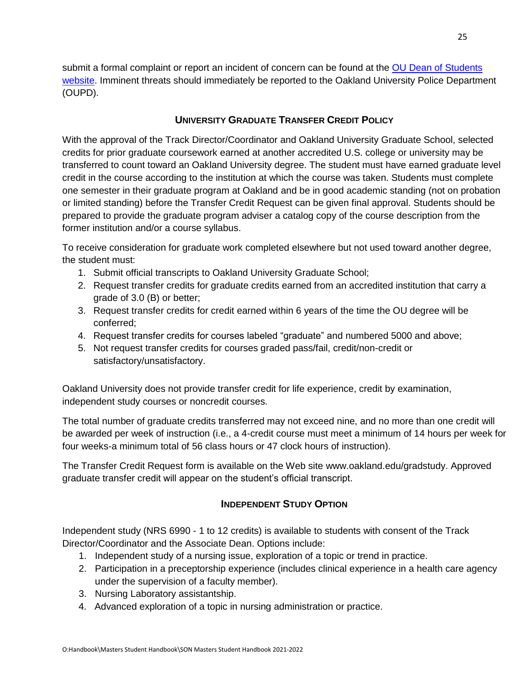submit a formal complaint or report an incident of concern can be found at the [OU Dean of Students](https://www.oakland.edu/deanofstudents/faculty-staff-resources/report-an-incident/)  [website.](https://www.oakland.edu/deanofstudents/faculty-staff-resources/report-an-incident/) Imminent threats should immediately be reported to the Oakland University Police Department (OUPD).

## **UNIVERSITY GRADUATE TRANSFER CREDIT POLICY**

<span id="page-24-0"></span>With the approval of the Track Director/Coordinator and Oakland University Graduate School, selected credits for prior graduate coursework earned at another accredited U.S. college or university may be transferred to count toward an Oakland University degree. The student must have earned graduate level credit in the course according to the institution at which the course was taken. Students must complete one semester in their graduate program at Oakland and be in good academic standing (not on probation or limited standing) before the Transfer Credit Request can be given final approval. Students should be prepared to provide the graduate program adviser a catalog copy of the course description from the former institution and/or a course syllabus.

To receive consideration for graduate work completed elsewhere but not used toward another degree, the student must:

- 1. Submit official transcripts to Oakland University Graduate School;
- 2. Request transfer credits for graduate credits earned from an accredited institution that carry a grade of 3.0 (B) or better;
- 3. Request transfer credits for credit earned within 6 years of the time the OU degree will be conferred;
- 4. Request transfer credits for courses labeled "graduate" and numbered 5000 and above;
- 5. Not request transfer credits for courses graded pass/fail, credit/non-credit or satisfactory/unsatisfactory.

Oakland University does not provide transfer credit for life experience, credit by examination, independent study courses or noncredit courses.

The total number of graduate credits transferred may not exceed nine, and no more than one credit will be awarded per week of instruction (i.e., a 4-credit course must meet a minimum of 14 hours per week for four weeks-a minimum total of 56 class hours or 47 clock hours of instruction).

The Transfer Credit Request form is available on the Web site [www.oakland.edu/gradstudy.](https://www.oakland.edu/grad/current-graduate-students/forms/) Approved graduate transfer credit will appear on the student's official transcript.

#### **INDEPENDENT STUDY OPTION**

<span id="page-24-1"></span>Independent study (NRS 6990 - 1 to 12 credits) is available to students with consent of the Track Director/Coordinator and the Associate Dean. Options include:

- 1. Independent study of a nursing issue, exploration of a topic or trend in practice.
- 2. Participation in a preceptorship experience (includes clinical experience in a health care agency under the supervision of a faculty member).
- 3. Nursing Laboratory assistantship.
- 4. Advanced exploration of a topic in nursing administration or practice.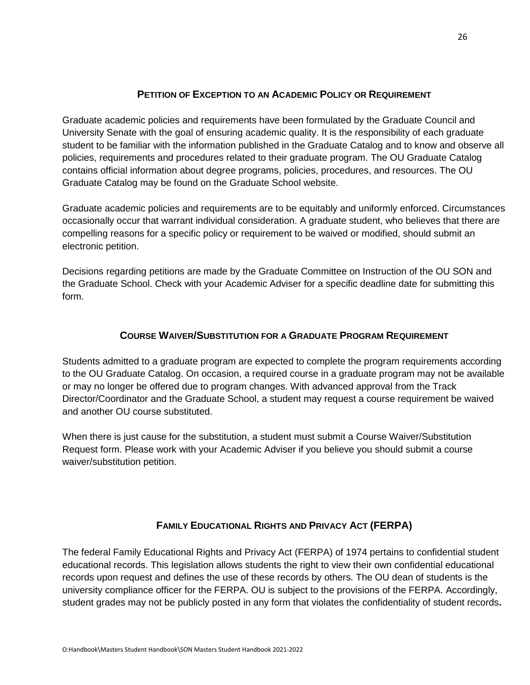## **PETITION OF EXCEPTION TO AN ACADEMIC POLICY OR REQUIREMENT**

<span id="page-25-0"></span>Graduate academic policies and requirements have been formulated by the Graduate Council and University Senate with the goal of ensuring academic quality. It is the responsibility of each graduate student to be familiar with the information published in the Graduate Catalog and to know and observe all policies, requirements and procedures related to their graduate program. The OU Graduate Catalog contains official information about degree programs, policies, procedures, and resources. The OU Graduate Catalog may be found on the Graduate School website.

Graduate academic policies and requirements are to be equitably and uniformly enforced. Circumstances occasionally occur that warrant individual consideration. A graduate student, who believes that there are compelling reasons for a specific policy or requirement to be waived or modified, should submit an electronic petition.

Decisions regarding petitions are made by the Graduate Committee on Instruction of the OU SON and the Graduate School. Check with your Academic Adviser for a specific deadline date for submitting this form.

## **COURSE WAIVER/SUBSTITUTION FOR A GRADUATE PROGRAM REQUIREMENT**

<span id="page-25-1"></span>Students admitted to a graduate program are expected to complete the program requirements according to the OU Graduate Catalog. On occasion, a required course in a graduate program may not be available or may no longer be offered due to program changes. With advanced approval from the Track Director/Coordinator and the Graduate School, a student may request a course requirement be waived and another OU course substituted.

When there is just cause for the substitution, a student must submit a Course Waiver/Substitution Request form. Please work with your Academic Adviser if you believe you should submit a course waiver/substitution petition.

## **FAMILY EDUCATIONAL RIGHTS AND PRIVACY ACT (FERPA)**

<span id="page-25-2"></span>The federal Family Educational Rights and Privacy Act (FERPA) of 1974 pertains to confidential student educational records. This legislation allows students the right to view their own confidential educational records upon request and defines the use of these records by others. The OU dean of students is the university compliance officer for the FERPA. OU is subject to the provisions of the FERPA. Accordingly, student grades may not be publicly posted in any form that violates the confidentiality of student records**.**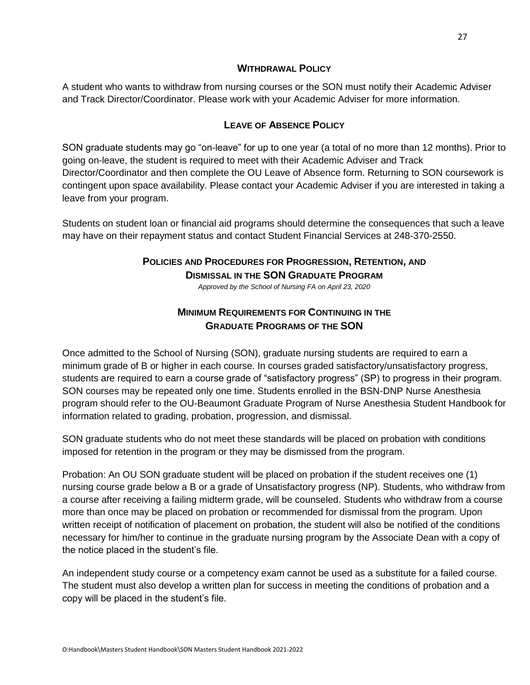#### **WITHDRAWAL POLICY**

<span id="page-26-0"></span>A student who wants to withdraw from nursing courses or the SON must notify their Academic Adviser and Track Director/Coordinator. Please work with your Academic Adviser for more information.

#### **LEAVE OF ABSENCE POLICY**

<span id="page-26-1"></span>SON graduate students may go "on-leave" for up to one year (a total of no more than 12 months). Prior to going on-leave, the student is required to meet with their Academic Adviser and Track Director/Coordinator and then complete the OU Leave of Absence form. Returning to SON coursework is contingent upon space availability. Please contact your Academic Adviser if you are interested in taking a leave from your program.

<span id="page-26-3"></span><span id="page-26-2"></span>Students on student loan or financial aid programs should determine the consequences that such a leave may have on their repayment status and contact Student Financial Services at 248-370-2550.

## **POLICIES AND PROCEDURES FOR PROGRESSION, RETENTION, AND DISMISSAL IN THE SON GRADUATE PROGRAM**

*Approved by the School of Nursing FA on April 23, 2020*

## **MINIMUM REQUIREMENTS FOR CONTINUING IN THE GRADUATE PROGRAMS OF THE SON**

<span id="page-26-4"></span>Once admitted to the School of Nursing (SON), graduate nursing students are required to earn a minimum grade of B or higher in each course. In courses graded satisfactory/unsatisfactory progress, students are required to earn a course grade of "satisfactory progress" (SP) to progress in their program. SON courses may be repeated only one time. Students enrolled in the BSN-DNP Nurse Anesthesia program should refer to the OU-Beaumont Graduate Program of Nurse Anesthesia Student Handbook for information related to grading, probation, progression, and dismissal.

SON graduate students who do not meet these standards will be placed on probation with conditions imposed for retention in the program or they may be dismissed from the program.

Probation: An OU SON graduate student will be placed on probation if the student receives one (1) nursing course grade below a B or a grade of Unsatisfactory progress (NP). Students, who withdraw from a course after receiving a failing midterm grade, will be counseled. Students who withdraw from a course more than once may be placed on probation or recommended for dismissal from the program. Upon written receipt of notification of placement on probation, the student will also be notified of the conditions necessary for him/her to continue in the graduate nursing program by the Associate Dean with a copy of the notice placed in the student's file.

An independent study course or a competency exam cannot be used as a substitute for a failed course. The student must also develop a written plan for success in meeting the conditions of probation and a copy will be placed in the student's file.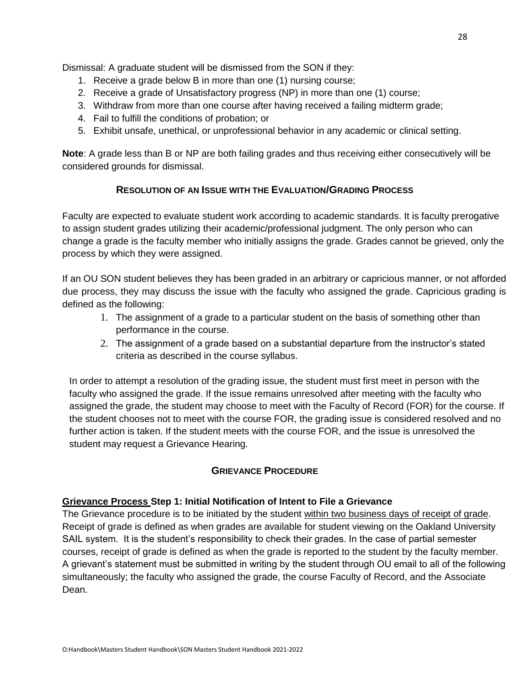Dismissal: A graduate student will be dismissed from the SON if they:

- 1. Receive a grade below B in more than one (1) nursing course;
- 2. Receive a grade of Unsatisfactory progress (NP) in more than one (1) course;
- 3. Withdraw from more than one course after having received a failing midterm grade;
- 4. Fail to fulfill the conditions of probation; or
- 5. Exhibit unsafe, unethical, or unprofessional behavior in any academic or clinical setting.

**Note**: A grade less than B or NP are both failing grades and thus receiving either consecutively will be considered grounds for dismissal.

#### **RESOLUTION OF AN ISSUE WITH THE EVALUATION/GRADING PROCESS**

<span id="page-27-0"></span>Faculty are expected to evaluate student work according to academic standards. It is faculty prerogative to assign student grades utilizing their academic/professional judgment. The only person who can change a grade is the faculty member who initially assigns the grade. Grades cannot be grieved, only the process by which they were assigned.

If an OU SON student believes they has been graded in an arbitrary or capricious manner, or not afforded due process, they may discuss the issue with the faculty who assigned the grade. Capricious grading is defined as the following:

- 1. The assignment of a grade to a particular student on the basis of something other than performance in the course.
- 2. The assignment of a grade based on a substantial departure from the instructor's stated criteria as described in the course syllabus.

In order to attempt a resolution of the grading issue, the student must first meet in person with the faculty who assigned the grade. If the issue remains unresolved after meeting with the faculty who assigned the grade, the student may choose to meet with the Faculty of Record (FOR) for the course. If the student chooses not to meet with the course FOR, the grading issue is considered resolved and no further action is taken. If the student meets with the course FOR, and the issue is unresolved the student may request a Grievance Hearing.

#### **GRIEVANCE PROCEDURE**

#### <span id="page-27-1"></span>**Grievance Process Step 1: Initial Notification of Intent to File a Grievance**

The Grievance procedure is to be initiated by the student within two business days of receipt of grade. Receipt of grade is defined as when grades are available for student viewing on the Oakland University SAIL system. It is the student's responsibility to check their grades. In the case of partial semester courses, receipt of grade is defined as when the grade is reported to the student by the faculty member. A grievant's statement must be submitted in writing by the student through OU email to all of the following simultaneously; the faculty who assigned the grade, the course Faculty of Record, and the Associate Dean.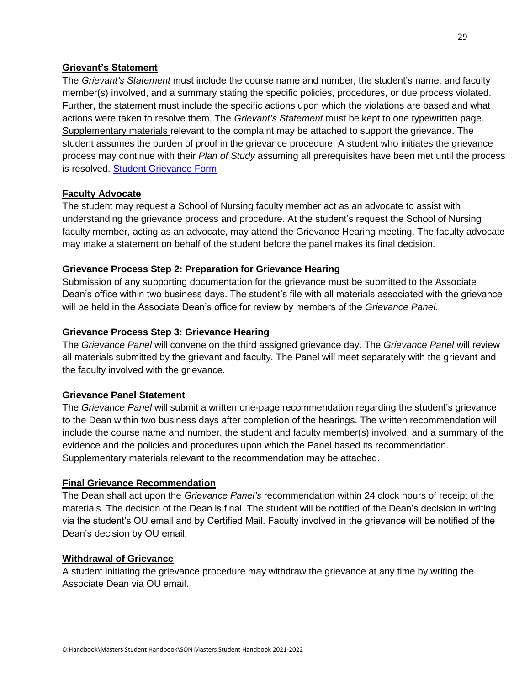#### **Grievant's Statement**

The *Grievant's Statement* must include the course name and number, the student's name, and faculty member(s) involved, and a summary stating the specific policies, procedures, or due process violated. Further, the statement must include the specific actions upon which the violations are based and what actions were taken to resolve them. The *Grievant's Statement* must be kept to one typewritten page. Supplementary materials relevant to the complaint may be attached to support the grievance. The student assumes the burden of proof in the grievance procedure. A student who initiates the grievance process may continue with their *Plan of Study* assuming all prerequisites have been met until the process is resolved. [Student Grievance Form](https://www.oakland.edu/nursing/student-resources/forms/)

#### **Faculty Advocate**

The student may request a School of Nursing faculty member act as an advocate to assist with understanding the grievance process and procedure. At the student's request the School of Nursing faculty member, acting as an advocate, may attend the Grievance Hearing meeting. The faculty advocate may make a statement on behalf of the student before the panel makes its final decision.

#### **Grievance Process Step 2: Preparation for Grievance Hearing**

Submission of any supporting documentation for the grievance must be submitted to the Associate Dean's office within two business days. The student's file with all materials associated with the grievance will be held in the Associate Dean's office for review by members of the *Grievance Panel*.

#### **Grievance Process Step 3: Grievance Hearing**

The *Grievance Panel* will convene on the third assigned grievance day. The *Grievance Panel* will review all materials submitted by the grievant and faculty. The Panel will meet separately with the grievant and the faculty involved with the grievance.

#### **Grievance Panel Statement**

The *Grievance Panel* will submit a written one-page recommendation regarding the student's grievance to the Dean within two business days after completion of the hearings. The written recommendation will include the course name and number, the student and faculty member(s) involved, and a summary of the evidence and the policies and procedures upon which the Panel based its recommendation. Supplementary materials relevant to the recommendation may be attached.

#### **Final Grievance Recommendation**

The Dean shall act upon the *Grievance Panel's* recommendation within 24 clock hours of receipt of the materials. The decision of the Dean is final. The student will be notified of the Dean's decision in writing via the student's OU email and by Certified Mail. Faculty involved in the grievance will be notified of the Dean's decision by OU email.

#### **Withdrawal of Grievance**

A student initiating the grievance procedure may withdraw the grievance at any time by writing the Associate Dean via OU email.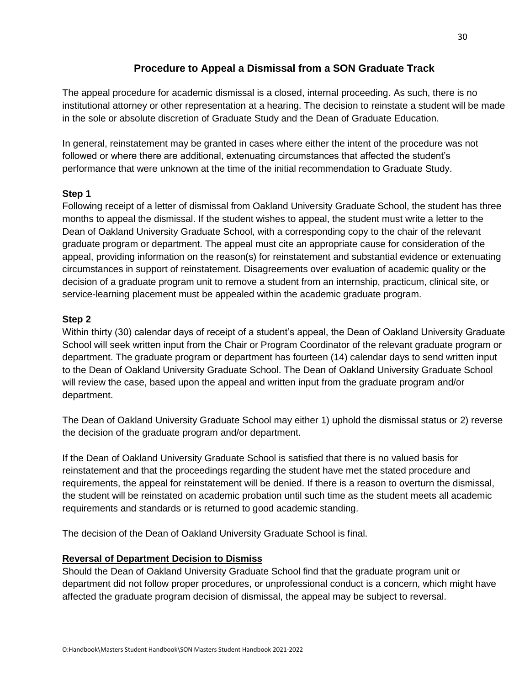## **Procedure to Appeal a Dismissal from a SON Graduate Track**

<span id="page-29-0"></span>The appeal procedure for academic dismissal is a closed, internal proceeding. As such, there is no institutional attorney or other representation at a hearing. The decision to reinstate a student will be made in the sole or absolute discretion of Graduate Study and the Dean of Graduate Education.

In general, reinstatement may be granted in cases where either the intent of the procedure was not followed or where there are additional, extenuating circumstances that affected the student's performance that were unknown at the time of the initial recommendation to Graduate Study.

#### **Step 1**

Following receipt of a letter of dismissal from Oakland University Graduate School, the student has three months to appeal the dismissal. If the student wishes to appeal, the student must write a letter to the Dean of Oakland University Graduate School, with a corresponding copy to the chair of the relevant graduate program or department. The appeal must cite an appropriate cause for consideration of the appeal, providing information on the reason(s) for reinstatement and substantial evidence or extenuating circumstances in support of reinstatement. Disagreements over evaluation of academic quality or the decision of a graduate program unit to remove a student from an internship, practicum, clinical site, or service-learning placement must be appealed within the academic graduate program.

#### **Step 2**

Within thirty (30) calendar days of receipt of a student's appeal, the Dean of Oakland University Graduate School will seek written input from the Chair or Program Coordinator of the relevant graduate program or department. The graduate program or department has fourteen (14) calendar days to send written input to the Dean of Oakland University Graduate School. The Dean of Oakland University Graduate School will review the case, based upon the appeal and written input from the graduate program and/or department.

The Dean of Oakland University Graduate School may either 1) uphold the dismissal status or 2) reverse the decision of the graduate program and/or department.

If the Dean of Oakland University Graduate School is satisfied that there is no valued basis for reinstatement and that the proceedings regarding the student have met the stated procedure and requirements, the appeal for reinstatement will be denied. If there is a reason to overturn the dismissal, the student will be reinstated on academic probation until such time as the student meets all academic requirements and standards or is returned to good academic standing.

The decision of the Dean of Oakland University Graduate School is final.

#### **Reversal of Department Decision to Dismiss**

Should the Dean of Oakland University Graduate School find that the graduate program unit or department did not follow proper procedures, or unprofessional conduct is a concern, which might have affected the graduate program decision of dismissal, the appeal may be subject to reversal.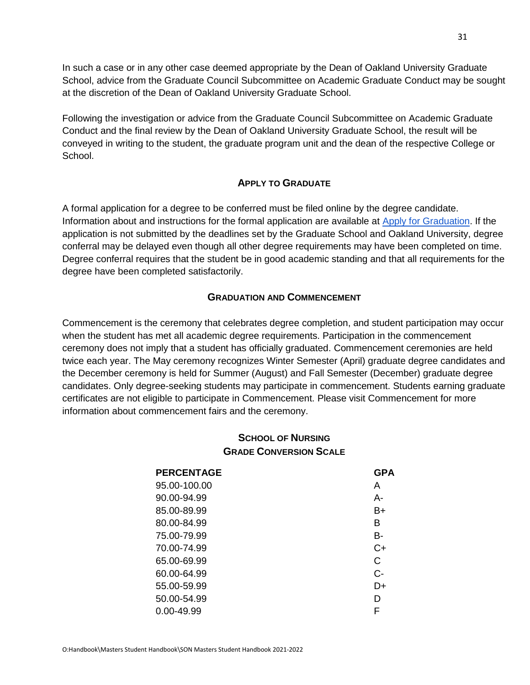In such a case or in any other case deemed appropriate by the Dean of Oakland University Graduate School, advice from the Graduate Council Subcommittee on Academic Graduate Conduct may be sought at the discretion of the Dean of Oakland University Graduate School.

Following the investigation or advice from the Graduate Council Subcommittee on Academic Graduate Conduct and the final review by the Dean of Oakland University Graduate School, the result will be conveyed in writing to the student, the graduate program unit and the dean of the respective College or School.

#### **APPLY TO GRADUATE**

<span id="page-30-0"></span>A formal application for a degree to be conferred must be filed online by the degree candidate. Information about and instructions for the formal application are available at [Apply for Graduation.](https://www.oakland.edu/grad/current-graduate-students/graduation/) If the application is not submitted by the deadlines set by the Graduate School and Oakland University, degree conferral may be delayed even though all other degree requirements may have been completed on time. Degree conferral requires that the student be in good academic standing and that all requirements for the degree have been completed satisfactorily.

#### **GRADUATION AND COMMENCEMENT**

<span id="page-30-2"></span><span id="page-30-1"></span>Commencement is the ceremony that celebrates degree completion, and student participation may occur when the student has met all academic degree requirements. Participation in the commencement ceremony does not imply that a student has officially graduated. Commencement ceremonies are held twice each year. The May ceremony recognizes Winter Semester (April) graduate degree candidates and the December ceremony is held for Summer (August) and Fall Semester (December) graduate degree candidates. Only degree-seeking students may participate in commencement. Students earning graduate certificates are not eligible to participate in Commencement. Please visit Commencement for more information about commencement fairs and the ceremony.

## **SCHOOL OF NURSING GRADE CONVERSION SCALE**

| <b>PERCENTAGE</b> | <b>GPA</b> |
|-------------------|------------|
| 95.00-100.00      | А          |
| 90.00-94.99       | А-         |
| 85.00-89.99       | B+         |
| 80.00-84.99       | в          |
| 75.00-79.99       | B-         |
| 70.00-74.99       | C+         |
| 65.00-69.99       | С          |
| 60.00-64.99       | $C-$       |
| 55.00-59.99       | D+         |
| 50.00-54.99       | D          |
| $0.00 - 49.99$    | F          |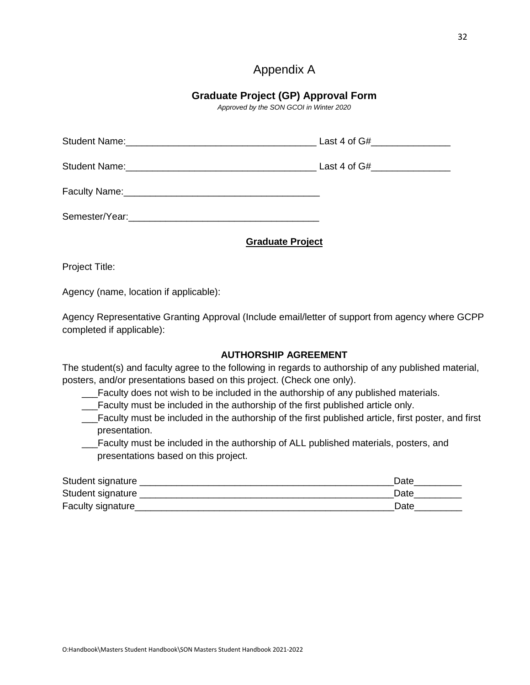## Appendix A

## **Graduate Project (GP) Approval Form**

*Approved by the SON GCOI in Winter 2020*

<span id="page-31-0"></span>

| <b>Graduate Project</b> |
|-------------------------|

Project Title:

Agency (name, location if applicable):

Agency Representative Granting Approval (Include email/letter of support from agency where GCPP completed if applicable):

#### **AUTHORSHIP AGREEMENT**

The student(s) and faculty agree to the following in regards to authorship of any published material, posters, and/or presentations based on this project. (Check one only).

\_\_\_Faculty does not wish to be included in the authorship of any published materials.

\_\_\_Faculty must be included in the authorship of the first published article only.

\_\_\_Faculty must be included in the authorship of the first published article, first poster, and first presentation.

\_\_\_Faculty must be included in the authorship of ALL published materials, posters, and presentations based on this project.

| Student signature  | Date |
|--------------------|------|
| Student signature  | Date |
| Faculty signature_ | Date |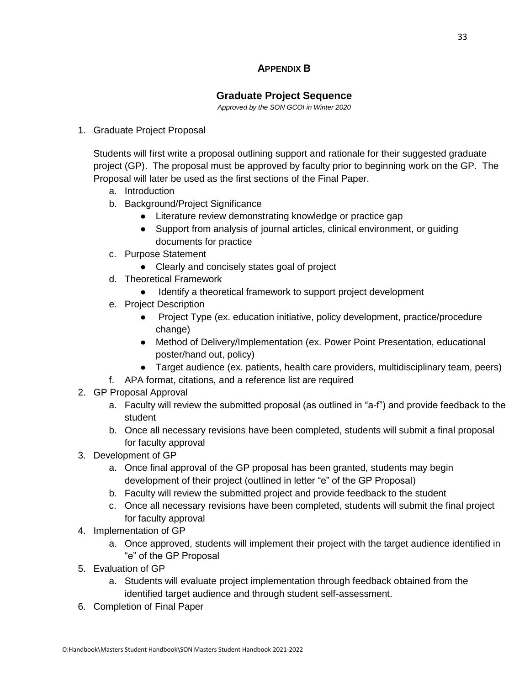## **APPENDIX B**

## **Graduate Project Sequence**

*Approved by the SON GCOI in Winter 2020*

#### <span id="page-32-0"></span>1. Graduate Project Proposal

Students will first write a proposal outlining support and rationale for their suggested graduate project (GP). The proposal must be approved by faculty prior to beginning work on the GP. The Proposal will later be used as the first sections of the Final Paper.

- a. Introduction
- b. Background/Project Significance
	- Literature review demonstrating knowledge or practice gap
	- Support from analysis of journal articles, clinical environment, or guiding documents for practice
- c. Purpose Statement
	- Clearly and concisely states goal of project
- d. Theoretical Framework
	- Identify a theoretical framework to support project development
- e. Project Description
	- Project Type (ex. education initiative, policy development, practice/procedure change)
	- Method of Delivery/Implementation (ex. Power Point Presentation, educational poster/hand out, policy)
	- Target audience (ex. patients, health care providers, multidisciplinary team, peers)
- f. APA format, citations, and a reference list are required
- 2. GP Proposal Approval
	- a. Faculty will review the submitted proposal (as outlined in "a-f") and provide feedback to the student
	- b. Once all necessary revisions have been completed, students will submit a final proposal for faculty approval
- 3. Development of GP
	- a. Once final approval of the GP proposal has been granted, students may begin development of their project (outlined in letter "e" of the GP Proposal)
	- b. Faculty will review the submitted project and provide feedback to the student
	- c. Once all necessary revisions have been completed, students will submit the final project for faculty approval
- 4. Implementation of GP
	- a. Once approved, students will implement their project with the target audience identified in "e" of the GP Proposal
- 5. Evaluation of GP
	- a. Students will evaluate project implementation through feedback obtained from the identified target audience and through student self-assessment.
- 6. Completion of Final Paper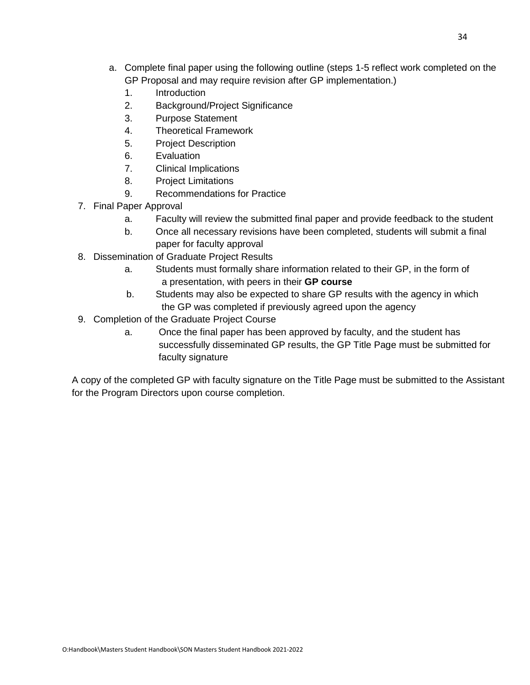- a. Complete final paper using the following outline (steps 1-5 reflect work completed on the GP Proposal and may require revision after GP implementation.)
	- 1. Introduction
	- 2. Background/Project Significance
	- 3. Purpose Statement
	- 4. Theoretical Framework
	- 5. Project Description
	- 6. Evaluation
	- 7. Clinical Implications
	- 8. Project Limitations
	- 9. Recommendations for Practice
- 7. Final Paper Approval
	- a. Faculty will review the submitted final paper and provide feedback to the student
	- b. Once all necessary revisions have been completed, students will submit a final paper for faculty approval
- 8. Dissemination of Graduate Project Results
	- a. Students must formally share information related to their GP, in the form of a presentation, with peers in their **GP course**
	- b. Students may also be expected to share GP results with the agency in which the GP was completed if previously agreed upon the agency
- 9. Completion of the Graduate Project Course
	- a. Once the final paper has been approved by faculty, and the student has successfully disseminated GP results, the GP Title Page must be submitted for faculty signature

A copy of the completed GP with faculty signature on the Title Page must be submitted to the Assistant for the Program Directors upon course completion.